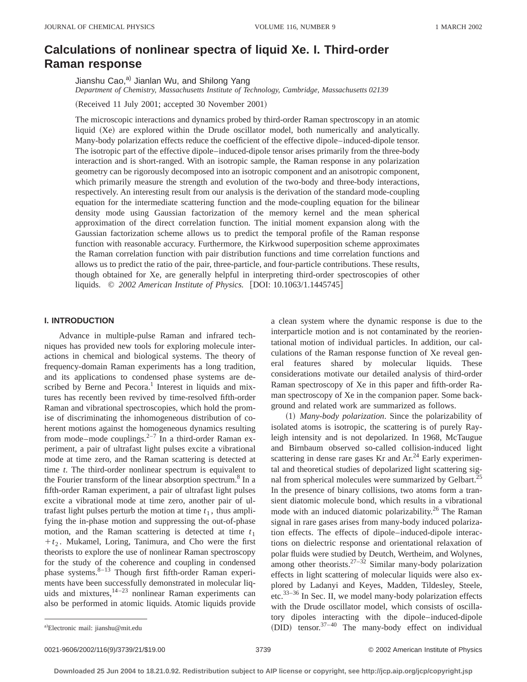# **Calculations of nonlinear spectra of liquid Xe. I. Third-order Raman response**

Jianshu Cao,<sup>a)</sup> Jianlan Wu, and Shilong Yang *Department of Chemistry, Massachusetts Institute of Technology, Cambridge, Massachusetts 02139*

(Received 11 July 2001; accepted 30 November 2001)

The microscopic interactions and dynamics probed by third-order Raman spectroscopy in an atomic liquid (Xe) are explored within the Drude oscillator model, both numerically and analytically. Many-body polarization effects reduce the coefficient of the effective dipole–induced-dipole tensor. The isotropic part of the effective dipole–induced-dipole tensor arises primarily from the three-body interaction and is short-ranged. With an isotropic sample, the Raman response in any polarization geometry can be rigorously decomposed into an isotropic component and an anisotropic component, which primarily measure the strength and evolution of the two-body and three-body interactions, respectively. An interesting result from our analysis is the derivation of the standard mode-coupling equation for the intermediate scattering function and the mode-coupling equation for the bilinear density mode using Gaussian factorization of the memory kernel and the mean spherical approximation of the direct correlation function. The initial moment expansion along with the Gaussian factorization scheme allows us to predict the temporal profile of the Raman response function with reasonable accuracy. Furthermore, the Kirkwood superposition scheme approximates the Raman correlation function with pair distribution functions and time correlation functions and allows us to predict the ratio of the pair, three-particle, and four-particle contributions. These results, though obtained for Xe, are generally helpful in interpreting third-order spectroscopies of other liquids. © 2002 American Institute of Physics. [DOI: 10.1063/1.1445745]

# **I. INTRODUCTION**

Advance in multiple-pulse Raman and infrared techniques has provided new tools for exploring molecule interactions in chemical and biological systems. The theory of frequency-domain Raman experiments has a long tradition, and its applications to condensed phase systems are described by Berne and Pecora.<sup>1</sup> Interest in liquids and mixtures has recently been revived by time-resolved fifth-order Raman and vibrational spectroscopies, which hold the promise of discriminating the inhomogeneous distribution of coherent motions against the homogeneous dynamics resulting from mode–mode couplings. $2^{-7}$  In a third-order Raman experiment, a pair of ultrafast light pulses excite a vibrational mode at time zero, and the Raman scattering is detected at time *t*. The third-order nonlinear spectrum is equivalent to the Fourier transform of the linear absorption spectrum.<sup>8</sup> In a fifth-order Raman experiment, a pair of ultrafast light pulses excite a vibrational mode at time zero, another pair of ultrafast light pulses perturb the motion at time  $t_1$ , thus amplifying the in-phase motion and suppressing the out-of-phase motion, and the Raman scattering is detected at time  $t_1$  $+t_2$ . Mukamel, Loring, Tanimura, and Cho were the first theorists to explore the use of nonlinear Raman spectroscopy for the study of the coherence and coupling in condensed phase systems.<sup>8-13</sup> Though first fifth-order Raman experiments have been successfully demonstrated in molecular liquids and mixtures,<sup>14-23</sup> nonlinear Raman experiments can also be performed in atomic liquids. Atomic liquids provide

a clean system where the dynamic response is due to the interparticle motion and is not contaminated by the reorientational motion of individual particles. In addition, our calculations of the Raman response function of Xe reveal general features shared by molecular liquids. These considerations motivate our detailed analysis of third-order Raman spectroscopy of Xe in this paper and fifth-order Raman spectroscopy of Xe in the companion paper. Some background and related work are summarized as follows.

~1! *Many-body polarization*. Since the polarizability of isolated atoms is isotropic, the scattering is of purely Rayleigh intensity and is not depolarized. In 1968, McTaugue and Birnbaum observed so-called collision-induced light scattering in dense rare gases Kr and  $Ar^{24}$  Early experimental and theoretical studies of depolarized light scattering signal from spherical molecules were summarized by Gelbart.<sup>25</sup> In the presence of binary collisions, two atoms form a transient diatomic molecule bond, which results in a vibrational mode with an induced diatomic polarizability.<sup>26</sup> The Raman signal in rare gases arises from many-body induced polarization effects. The effects of dipole–induced-dipole interactions on dielectric response and orientational relaxation of polar fluids were studied by Deutch, Wertheim, and Wolynes, among other theorists.<sup>27–32</sup> Similar many-body polarization effects in light scattering of molecular liquids were also explored by Ladanyi and Keyes, Madden, Tildesley, Steele, etc.<sup>33–36</sup> In Sec. II, we model many-body polarization effects with the Drude oscillator model, which consists of oscillatory dipoles interacting with the dipole–induced-dipole <sup>a)</sup>Electronic mail: jianshu@mit.edu (DID) tensor.<sup>37–40</sup> The many-body effect on individual

0021-9606/2002/116(9)/3739/21/\$19.00 3739 © 2002 American Institute of Physics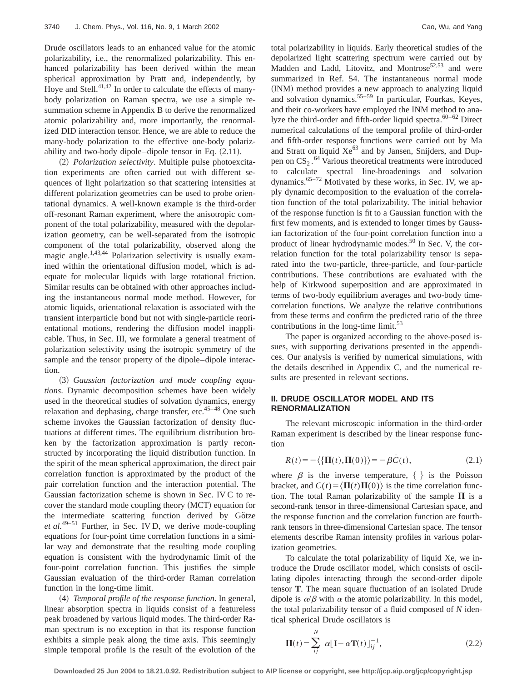Drude oscillators leads to an enhanced value for the atomic polarizability, i.e., the renormalized polarizability. This enhanced polarizability has been derived within the mean spherical approximation by Pratt and, independently, by Hoye and Stell.<sup>41,42</sup> In order to calculate the effects of manybody polarization on Raman spectra, we use a simple resummation scheme in Appendix B to derive the renormalized atomic polarizability and, more importantly, the renormalized DID interaction tensor. Hence, we are able to reduce the many-body polarization to the effective one-body polarizability and two-body dipole–dipole tensor in Eq.  $(2.11)$ .

~2! *Polarization selectivity*. Multiple pulse photoexcitation experiments are often carried out with different sequences of light polarization so that scattering intensities at different polarization geometries can be used to probe orientational dynamics. A well-known example is the third-order off-resonant Raman experiment, where the anisotropic component of the total polarizability, measured with the depolarization geometry, can be well-separated from the isotropic component of the total polarizability, observed along the magic angle.<sup>1,43,44</sup> Polarization selectivity is usually examined within the orientational diffusion model, which is adequate for molecular liquids with large rotational friction. Similar results can be obtained with other approaches including the instantaneous normal mode method. However, for atomic liquids, orientational relaxation is associated with the transient interparticle bond but not with single-particle reorientational motions, rendering the diffusion model inapplicable. Thus, in Sec. III, we formulate a general treatment of polarization selectivity using the isotropic symmetry of the sample and the tensor property of the dipole–dipole interaction.

~3! *Gaussian factorization and mode coupling equations*. Dynamic decomposition schemes have been widely used in the theoretical studies of solvation dynamics, energy relaxation and dephasing, charge transfer, etc.45–48 One such scheme invokes the Gaussian factorization of density fluctuations at different times. The equilibrium distribution broken by the factorization approximation is partly reconstructed by incorporating the liquid distribution function. In the spirit of the mean spherical approximation, the direct pair correlation function is approximated by the product of the pair correlation function and the interaction potential. The Gaussian factorization scheme is shown in Sec. IV C to recover the standard mode coupling theory (MCT) equation for the intermediate scattering function derived by Götze *et al.*49–51 Further, in Sec. IV D, we derive mode-coupling equations for four-point time correlation functions in a similar way and demonstrate that the resulting mode coupling equation is consistent with the hydrodynamic limit of the four-point correlation function. This justifies the simple Gaussian evaluation of the third-order Raman correlation function in the long-time limit.

~4! *Temporal profile of the response function*. In general, linear absorption spectra in liquids consist of a featureless peak broadened by various liquid modes. The third-order Raman spectrum is no exception in that its response function exhibits a simple peak along the time axis. This seemingly simple temporal profile is the result of the evolution of the

total polarizability in liquids. Early theoretical studies of the depolarized light scattering spectrum were carried out by Madden and Ladd, Litovitz, and Montrose<sup>52,53</sup> and were summarized in Ref. 54. The instantaneous normal mode (INM) method provides a new approach to analyzing liquid and solvation dynamics.<sup>55-59</sup> In particular, Fourkas, Keyes, and their co-workers have employed the INM method to analyze the third-order and fifth-order liquid spectra. $60-62$  Direct numerical calculations of the temporal profile of third-order and fifth-order response functions were carried out by Ma and Stratt on liquid Xe<sup>63</sup> and by Jansen, Snijders, and Duppen on  $CS_2$ .<sup>64</sup> Various theoretical treatments were introduced to calculate spectral line-broadenings and solvation dynamics.<sup>65–72</sup> Motivated by these works, in Sec. IV, we apply dynamic decomposition to the evaluation of the correlation function of the total polarizability. The initial behavior of the response function is fit to a Gaussian function with the first few moments, and is extended to longer times by Gaussian factorization of the four-point correlation function into a product of linear hydrodynamic modes.<sup>50</sup> In Sec. V, the correlation function for the total polarizability tensor is separated into the two-particle, three-particle, and four-particle contributions. These contributions are evaluated with the help of Kirkwood superposition and are approximated in terms of two-body equilibrium averages and two-body timecorrelation functions. We analyze the relative contributions from these terms and confirm the predicted ratio of the three contributions in the long-time limit.<sup>53</sup>

The paper is organized according to the above-posed issues, with supporting derivations presented in the appendices. Our analysis is verified by numerical simulations, with the details described in Appendix C, and the numerical results are presented in relevant sections.

# **II. DRUDE OSCILLATOR MODEL AND ITS RENORMALIZATION**

The relevant microscopic information in the third-order Raman experiment is described by the linear response function

$$
R(t) = -\langle \{\Pi(t), \Pi(0)\}\rangle = -\beta \dot{C}(t),\tag{2.1}
$$

where  $\beta$  is the inverse temperature,  $\{\}$  is the Poisson bracket, and  $C(t) = \langle \Pi(t) \Pi(0) \rangle$  is the time correlation function. The total Raman polarizability of the sample  $\Pi$  is a second-rank tensor in three-dimensional Cartesian space, and the response function and the correlation function are fourthrank tensors in three-dimensional Cartesian space. The tensor elements describe Raman intensity profiles in various polarization geometries.

To calculate the total polarizability of liquid Xe, we introduce the Drude oscillator model, which consists of oscillating dipoles interacting through the second-order dipole tensor **T**. The mean square fluctuation of an isolated Drude dipole is  $\alpha/\beta$  with  $\alpha$  the atomic polarizability. In this model, the total polarizability tensor of a fluid composed of *N* identical spherical Drude oscillators is

$$
\Pi(t) = \sum_{ij}^{N} \alpha [\mathbf{I} - \alpha \mathbf{T}(t)]_{ij}^{-1},
$$
\n(2.2)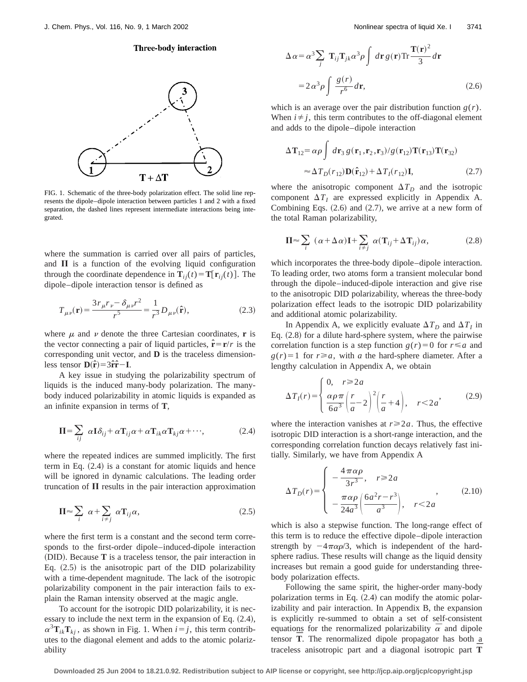# **Three-body interaction**



FIG. 1. Schematic of the three-body polarization effect. The solid line represents the dipole–dipole interaction between particles 1 and 2 with a fixed separation, the dashed lines represent intermediate interactions being integrated.

where the summation is carried over all pairs of particles, and  $\Pi$  is a function of the evolving liquid configuration through the coordinate dependence in  $\mathbf{T}_{ij}(t) = \mathbf{T}[\mathbf{r}_{ij}(t)]$ . The dipole–dipole interaction tensor is defined as

$$
T_{\mu\nu}(\mathbf{r}) = \frac{3r_{\mu}r_{\nu} - \delta_{\mu\nu}r^2}{r^5} = \frac{1}{r^3}D_{\mu\nu}(\hat{\mathbf{r}}),
$$
 (2.3)

where  $\mu$  and  $\nu$  denote the three Cartesian coordinates, **r** is the vector connecting a pair of liquid particles,  $\hat{\mathbf{r}} = \mathbf{r}/r$  is the corresponding unit vector, and **D** is the traceless dimensionless tensor  $\mathbf{D}(\hat{\mathbf{r}}) = 3\hat{\mathbf{r}}\hat{\mathbf{r}} - \mathbf{I}$ .

A key issue in studying the polarizability spectrum of liquids is the induced many-body polarization. The manybody induced polarizability in atomic liquids is expanded as an infinite expansion in terms of **T**,

$$
\Pi = \sum_{ij} \alpha \mathbf{I} \delta_{ij} + \alpha \mathbf{T}_{ij} \alpha + \alpha \mathbf{T}_{ik} \alpha \mathbf{T}_{kj} \alpha + \cdots, \tag{2.4}
$$

where the repeated indices are summed implicitly. The first term in Eq.  $(2.4)$  is a constant for atomic liquids and hence will be ignored in dynamic calculations. The leading order truncation of  $\Pi$  results in the pair interaction approximation

$$
\Pi \approx \sum_{i} \alpha + \sum_{i \neq j} \alpha \mathbf{T}_{ij} \alpha, \tag{2.5}
$$

where the first term is a constant and the second term corresponds to the first-order dipole–induced-dipole interaction ~DID!. Because **T** is a traceless tensor, the pair interaction in Eq.  $(2.5)$  is the anisotropic part of the DID polarizability with a time-dependent magnitude. The lack of the isotropic polarizability component in the pair interaction fails to explain the Raman intensity observed at the magic angle.

To account for the isotropic DID polarizability, it is necessary to include the next term in the expansion of Eq.  $(2.4)$ ,  $\alpha^3 \mathbf{T}_{ik} \mathbf{T}_{kj}$ , as shown in Fig. 1. When  $i = j$ , this term contributes to the diagonal element and adds to the atomic polarizability

$$
\Delta \alpha = \alpha^3 \sum_{j} \mathbf{T}_{ij} \mathbf{T}_{jk} \alpha^3 \rho \int d\mathbf{r} g(\mathbf{r}) \text{Tr} \frac{\mathbf{T}(\mathbf{r})^2}{3} d\mathbf{r}
$$

$$
= 2 \alpha^3 \rho \int \frac{g(r)}{r^6} d\mathbf{r}, \qquad (2.6)
$$

which is an average over the pair distribution function  $g(r)$ . When  $i \neq j$ , this term contributes to the off-diagonal element and adds to the dipole–dipole interaction

$$
\Delta \mathbf{T}_{12} = \alpha \rho \int d\mathbf{r}_3 g(\mathbf{r}_1, \mathbf{r}_2, \mathbf{r}_3) / g(\mathbf{r}_{12}) \mathbf{T}(\mathbf{r}_{13}) \mathbf{T}(\mathbf{r}_{32})
$$
  

$$
\approx \Delta T_D(r_{12}) \mathbf{D}(\hat{\mathbf{r}}_{12}) + \Delta T_I(r_{12}) \mathbf{I},
$$
 (2.7)

where the anisotropic component  $\Delta T_D$  and the isotropic component  $\Delta T_I$  are expressed explicitly in Appendix A. Combining Eqs.  $(2.6)$  and  $(2.7)$ , we arrive at a new form of the total Raman polarizability,

$$
\Pi \approx \sum_{i} (\alpha + \Delta \alpha) \mathbf{I} + \sum_{i \neq j} \alpha (\mathbf{T}_{ij} + \Delta \mathbf{T}_{ij}) \alpha, \tag{2.8}
$$

which incorporates the three-body dipole–dipole interaction. To leading order, two atoms form a transient molecular bond through the dipole–induced-dipole interaction and give rise to the anisotropic DID polarizability, whereas the three-body polarization effect leads to the isotropic DID polarizability and additional atomic polarizability.

In Appendix A, we explicitly evaluate  $\Delta T_D$  and  $\Delta T_I$  in Eq.  $(2.8)$  for a dilute hard-sphere system, where the pairwise correlation function is a step function  $g(r)=0$  for  $r \le a$  and  $g(r)=1$  for  $r \ge a$ , with *a* the hard-sphere diameter. After a lengthy calculation in Appendix A, we obtain

$$
\Delta T_I(r) = \begin{cases} 0, & r \ge 2a \\ \frac{\alpha \rho \pi}{6a^3} \left(\frac{r}{a} - 2\right)^2 \left(\frac{r}{a} + 4\right), & r < 2a' \end{cases}
$$
(2.9)

where the interaction vanishes at  $r \geq 2a$ . Thus, the effective isotropic DID interaction is a short-range interaction, and the corresponding correlation function decays relatively fast initially. Similarly, we have from Appendix A

$$
\Delta T_D(r) = \begin{cases}\n-\frac{4\pi\alpha\rho}{3r^3}, & r \ge 2a \\
-\frac{\pi\alpha\rho}{24a^3} \left(\frac{6a^2r - r^3}{a^3}\right), & r < 2a\n\end{cases}
$$
\n(2.10)

which is also a stepwise function. The long-range effect of this term is to reduce the effective dipole–dipole interaction strength by  $-4\pi\alpha\rho/3$ , which is independent of the hardsphere radius. These results will change as the liquid density increases but remain a good guide for understanding threebody polarization effects.

Following the same spirit, the higher-order many-body polarization terms in Eq.  $(2.4)$  can modify the atomic polarizability and pair interaction. In Appendix B, the expansion is explicitly re-summed to obtain a set of self-consistent equations for the renormalized polarizability  $\bar{\alpha}$  and dipole Equations for the renormalized potalizability  $\alpha$  and upone<br>tensor  $\overline{T}$ . The renormalized dipole propagator has both a traceless anisotropic part and a diagonal isotropic part **T¯**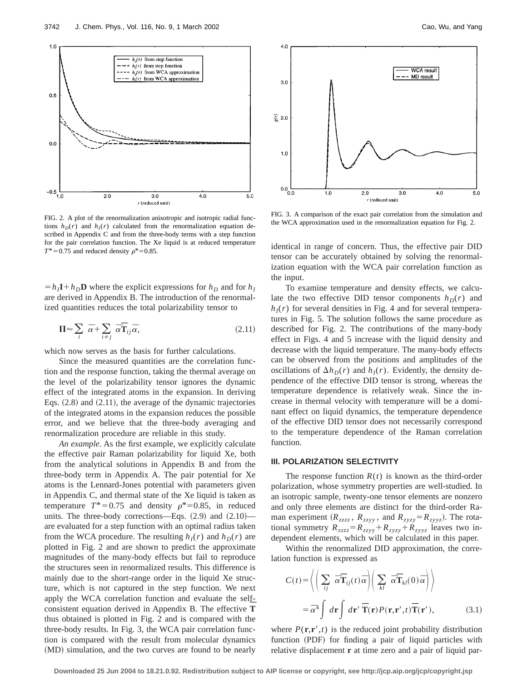

FIG. 2. A plot of the renormalization anisotropic and isotropic radial functions  $h_D(r)$  and  $h_I(r)$  calculated from the renormalization equation described in Appendix C and from the three-body terms with a step function for the pair correlation function. The Xe liquid is at reduced temperature  $T^*$  = 0.75 and reduced density  $\rho^*$  = 0.85.

 $= h_I \mathbf{I} + h_D \mathbf{D}$  where the explicit expressions for  $h_D$  and for  $h_I$ are derived in Appendix B. The introduction of the renormalized quantities reduces the total polarizability tensor to

$$
\Pi \approx \sum_{i} \overline{\alpha} + \sum_{i \neq j} \overline{\alpha} \overline{\mathbf{T}}_{ij} \overline{\alpha}, \qquad (2.11)
$$

which now serves as the basis for further calculations.

Since the measured quantities are the correlation function and the response function, taking the thermal average on the level of the polarizability tensor ignores the dynamic effect of the integrated atoms in the expansion. In deriving Eqs.  $(2.8)$  and  $(2.11)$ , the average of the dynamic trajectories of the integrated atoms in the expansion reduces the possible error, and we believe that the three-body averaging and renormalization procedure are reliable in this study.

*An example*. As the first example, we explicitly calculate the effective pair Raman polarizability for liquid Xe, both from the analytical solutions in Appendix B and from the three-body term in Appendix A. The pair potential for Xe atoms is the Lennard-Jones potential with parameters given in Appendix C, and thermal state of the Xe liquid is taken as temperature  $T^*=0.75$  and density  $\rho^*=0.85$ , in reduced units. The three-body corrections—Eqs.  $(2.9)$  and  $(2.10)$  are evaluated for a step function with an optimal radius taken from the WCA procedure. The resulting  $h_I(r)$  and  $h_D(r)$  are plotted in Fig. 2 and are shown to predict the approximate magnitudes of the many-body effects but fail to reproduce the structures seen in renormalized results. This difference is mainly due to the short-range order in the liquid Xe structure, which is not captured in the step function. We next apply the WCA correlation function and evaluate the selfconsistent equation derived in Appendix B. The effective **T** thus obtained is plotted in Fig. 2 and is compared with the three-body results. In Fig. 3, the WCA pair correlation function is compared with the result from molecular dynamics (MD) simulation, and the two curves are found to be nearly



FIG. 3. A comparison of the exact pair correlation from the simulation and the WCA approximation used in the renormalization equation for Fig. 2.

identical in range of concern. Thus, the effective pair DID tensor can be accurately obtained by solving the renormalization equation with the WCA pair correlation function as the input.

To examine temperature and density effects, we calculate the two effective DID tensor components  $h_D(r)$  and  $h_I(r)$  for several densities in Fig. 4 and for several temperatures in Fig. 5. The solution follows the same procedure as described for Fig. 2. The contributions of the many-body effect in Figs. 4 and 5 increase with the liquid density and decrease with the liquid temperature. The many-body effects can be observed from the positions and amplitudes of the oscillations of  $\Delta h_D(r)$  and  $h_I(r)$ . Evidently, the density dependence of the effective DID tensor is strong, whereas the temperature dependence is relatively weak. Since the increase in thermal velocity with temperature will be a dominant effect on liquid dynamics, the temperature dependence of the effective DID tensor does not necessarily correspond to the temperature dependence of the Raman correlation function.

# **III. POLARIZATION SELECTIVITY**

The response function  $R(t)$  is known as the third-order polarization, whose symmetry properties are well-studied. In an isotropic sample, twenty-one tensor elements are nonzero and only three elements are distinct for the third-order Raman experiment ( $R_{zzzz}$ ,  $R_{zzyy}$ , and  $R_{zyzy} = R_{zyyz}$ ). The rotational symmetry  $R_{zzzz} = R_{zzyy} + R_{zyzy} + R_{zyyz}$  leaves two independent elements, which will be calculated in this paper.

Within the renormalized DID approximation, the correlation function is expressed as

$$
C(t) = \left\langle \left( \sum_{ij} \overline{\alpha} \overline{\mathbf{T}}_{ij}(t) \overline{\alpha} \right) \left( \sum_{kl} \overline{\alpha} \overline{\mathbf{T}}_{kl}(0) \overline{\alpha} \right) \right\rangle
$$
  
=  $\overline{\alpha}^4 \int d\mathbf{r} \int d\mathbf{r}' \overline{\mathbf{T}}(\mathbf{r}) P(\mathbf{r}, \mathbf{r}', t) \overline{\mathbf{T}}(\mathbf{r}'),$  (3.1)

where  $P(\mathbf{r}, \mathbf{r}', t)$  is the reduced joint probability distribution function (PDF) for finding a pair of liquid particles with relative displacement **r** at time zero and a pair of liquid par-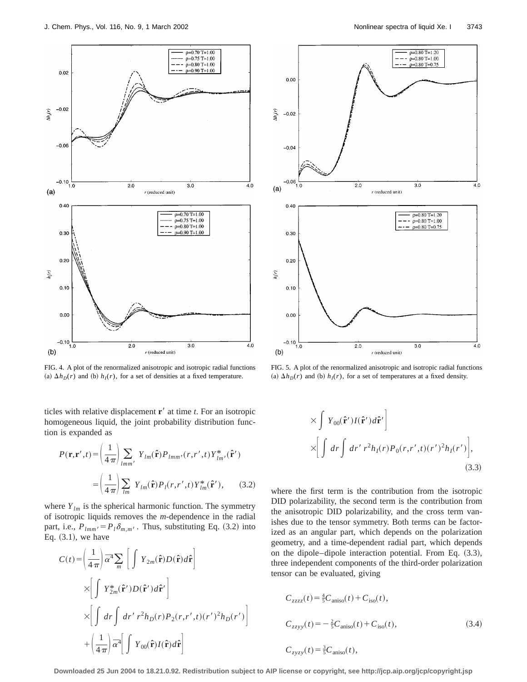

FIG. 4. A plot of the renormalized anisotropic and isotropic radial functions (a)  $\Delta h_D(r)$  and (b)  $h_I(r)$ , for a set of densities at a fixed temperature.

ticles with relative displacement  $\mathbf{r}'$  at time  $t$ . For an isotropic homogeneous liquid, the joint probability distribution function is expanded as

$$
P(\mathbf{r}, \mathbf{r}', t) = \left(\frac{1}{4\pi}\right) \sum_{lmm'} Y_{lm}(\hat{\mathbf{r}}) P_{lmm'}(r, r', t) Y_{lm'}^*(\hat{\mathbf{r}}')
$$

$$
= \left(\frac{1}{4\pi}\right) \sum_{lm} Y_{lm}(\hat{\mathbf{r}}) P_l(r, r', t) Y_{lm}^*(\hat{\mathbf{r}}'), \qquad (3.2)
$$

where  $Y_{lm}$  is the spherical harmonic function. The symmetry of isotropic liquids removes the *m*-dependence in the radial part, i.e.,  $P_{lmm'} = P_l \delta_{m,m'}$ . Thus, substituting Eq. (3.2) into Eq.  $(3.1)$ , we have

1111

$$
C(t) = \left(\frac{1}{4\pi}\right) \bar{\alpha}^4 \sum_m \left[ \int Y_{2m}(\hat{\mathbf{r}}) D(\hat{\mathbf{r}}) d\hat{\mathbf{r}} \right]
$$
  
 
$$
\times \left[ \int Y_{2m}^*(\hat{\mathbf{r}}') D(\hat{\mathbf{r}}') d\hat{\mathbf{r}}' \right]
$$
  
 
$$
\times \left[ \int dr \int dr' r^2 h_D(r) P_2(r, r', t) (r')^2 h_D(r') \right]
$$
  
 
$$
+ \left(\frac{1}{4\pi}\right) \bar{\alpha}^4 \left[ \int Y_{00}(\hat{\mathbf{r}}) I(\hat{\mathbf{r}}) d\hat{\mathbf{r}} \right]
$$



FIG. 5. A plot of the renormalized anisotropic and isotropic radial functions (a)  $\Delta h_D(r)$  and (b)  $h_I(r)$ , for a set of temperatures at a fixed density.

$$
\times \int Y_{00}(\hat{\mathbf{r}}')I(\hat{\mathbf{r}}')d\hat{\mathbf{r}}'
$$
  
 
$$
\times \left[ \int dr \int dr' r^2 h_I(r) P_0(r, r', t)(r')^2 h_I(r') \right],
$$
 (3.3)

where the first term is the contribution from the isotropic DID polarizability, the second term is the contribution from the anisotropic DID polarizability, and the cross term vanishes due to the tensor symmetry. Both terms can be factorized as an angular part, which depends on the polarization geometry, and a time-dependent radial part, which depends on the dipole–dipole interaction potential. From Eq.  $(3.3)$ , three independent components of the third-order polarization tensor can be evaluated, giving

$$
C_{zzzz}(t) = \frac{4}{5}C_{\text{aniso}}(t) + C_{\text{iso}}(t),
$$
  
\n
$$
C_{zzyy}(t) = -\frac{2}{5}C_{\text{aniso}}(t) + C_{\text{iso}}(t),
$$
  
\n
$$
C_{zyzy}(t) = \frac{3}{5}C_{\text{aniso}}(t),
$$
\n(3.4)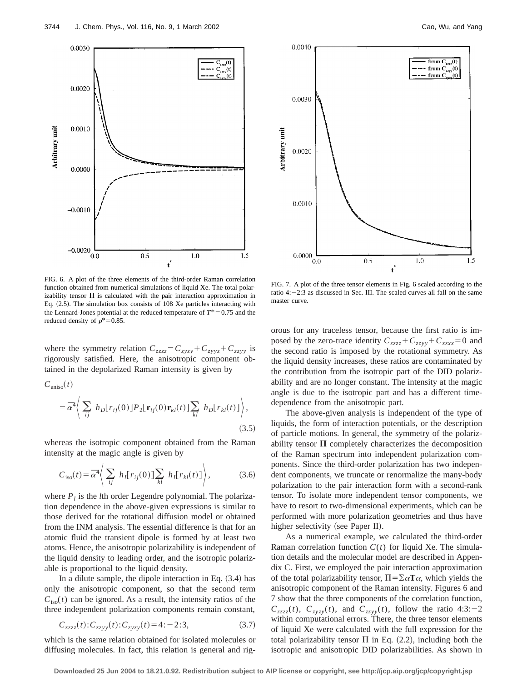

FIG. 6. A plot of the three elements of the third-order Raman correlation function obtained from numerical simulations of liquid Xe. The total polarizability tensor  $\Pi$  is calculated with the pair interaction approximation in Eq.  $(2.5)$ . The simulation box consists of 108 Xe particles interacting with the Lennard-Jones potential at the reduced temperature of  $T^* = 0.75$  and the reduced density of  $\rho^*=0.85$ .

where the symmetry relation  $C_{zzzz} = C_{zyzy} + C_{zyyz} + C_{zzyy}$  is rigorously satisfied. Here, the anisotropic component obtained in the depolarized Raman intensity is given by

$$
C_{\text{aniso}}(t)
$$
  
=  $\bar{\alpha}^4 \bigg\langle \sum_{ij} h_D[r_{ij}(0)] P_2[\mathbf{r}_{ij}(0) \mathbf{r}_{kl}(t)] \sum_{kl} h_D[r_{kl}(t)] \bigg\rangle,$  (3.5)

whereas the isotropic component obtained from the Raman intensity at the magic angle is given by

$$
C_{\rm iso}(t) = \overline{\alpha}^4 \Bigg\langle \sum_{ij} h_I[r_{ij}(0)] \sum_{kl} h_I[r_{kl}(t)] \Bigg\rangle, \tag{3.6}
$$

where  $P_l$  is the *l*th order Legendre polynomial. The polarization dependence in the above-given expressions is similar to those derived for the rotational diffusion model or obtained from the INM analysis. The essential difference is that for an atomic fluid the transient dipole is formed by at least two atoms. Hence, the anisotropic polarizability is independent of the liquid density to leading order, and the isotropic polarizable is proportional to the liquid density.

In a dilute sample, the dipole interaction in Eq.  $(3.4)$  has only the anisotropic component, so that the second term  $C<sub>iso</sub>(t)$  can be ignored. As a result, the intensity ratios of the three independent polarization components remain constant,

$$
C_{zzzz}(t): C_{zzyy}(t): C_{zyzy}(t) = 4: -2:3,
$$
\n(3.7)

which is the same relation obtained for isolated molecules or diffusing molecules. In fact, this relation is general and rig-



FIG. 7. A plot of the three tensor elements in Fig. 6 scaled according to the ratio  $4:-2:3$  as discussed in Sec. III. The scaled curves all fall on the same master curve.

orous for any traceless tensor, because the first ratio is imposed by the zero-trace identity  $C_{zzzz} + C_{zzyy} + C_{zzxx} = 0$  and the second ratio is imposed by the rotational symmetry. As the liquid density increases, these ratios are contaminated by the contribution from the isotropic part of the DID polarizability and are no longer constant. The intensity at the magic angle is due to the isotropic part and has a different timedependence from the anisotropic part.

The above-given analysis is independent of the type of liquids, the form of interaction potentials, or the description of particle motions. In general, the symmetry of the polarizability tensor  $\Pi$  completely characterizes the decomposition of the Raman spectrum into independent polarization components. Since the third-order polarization has two independent components, we truncate or renormalize the many-body polarization to the pair interaction form with a second-rank tensor. To isolate more independent tensor components, we have to resort to two-dimensional experiments, which can be performed with more polarization geometries and thus have higher selectivity (see Paper II).

As a numerical example, we calculated the third-order Raman correlation function *C*(*t*) for liquid Xe. The simulation details and the molecular model are described in Appendix C. First, we employed the pair interaction approximation of the total polarizability tensor,  $\Pi = \sum \alpha \mathbf{T} \alpha$ , which yields the anisotropic component of the Raman intensity. Figures 6 and 7 show that the three components of the correlation function,  $C_{zzzz}(t)$ ,  $C_{zyzy}(t)$ , and  $C_{zzyy}(t)$ , follow the ratio 4:3:-2 within computational errors. There, the three tensor elements of liquid Xe were calculated with the full expression for the total polarizability tensor  $\Pi$  in Eq. (2.2), including both the isotropic and anisotropic DID polarizabilities. As shown in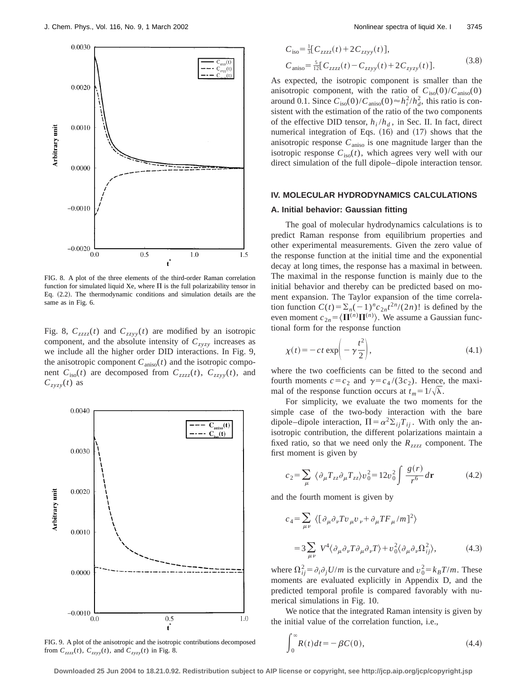

FIG. 8. A plot of the three elements of the third-order Raman correlation function for simulated liquid Xe, where  $\Pi$  is the full polarizability tensor in Eq.  $(2.2)$ . The thermodynamic conditions and simulation details are the same as in Fig. 6.

Fig. 8,  $C_{zzzz}(t)$  and  $C_{zzyy}(t)$  are modified by an isotropic component, and the absolute intensity of  $C_{z \gamma z \gamma}$  increases as we include all the higher order DID interactions. In Fig. 9, the anisotropic component  $C_{aniso}(t)$  and the isotropic component  $C_{\text{iso}}(t)$  are decomposed from  $C_{\text{zzzz}}(t)$ ,  $C_{\text{zzyy}}(t)$ , and  $C_{zyzy}(t)$  as



FIG. 9. A plot of the anisotropic and the isotropic contributions decomposed from  $C_{zzzz}(t)$ ,  $C_{zzyy}(t)$ , and  $C_{zyzy}(t)$  in Fig. 8.

$$
C_{\text{iso}} = \frac{1}{3} [C_{zzzz}(t) + 2C_{zzyy}(t)],
$$
  
\n
$$
C_{\text{aniso}} = \frac{5}{12} [C_{zzzz}(t) - C_{zzyy}(t) + 2C_{zyzy}(t)].
$$
\n(3.8)

As expected, the isotropic component is smaller than the anisotropic component, with the ratio of  $C_{\text{iso}}(0)/C_{\text{aniso}}(0)$ around 0.1. Since  $C_{\text{iso}}(0)/C_{\text{aniso}}(0) \approx h_i^2/h_d^2$ , this ratio is consistent with the estimation of the ratio of the two components of the effective DID tensor,  $h_i/h_d$ , in Sec. II. In fact, direct numerical integration of Eqs.  $(16)$  and  $(17)$  shows that the anisotropic response *C*aniso is one magnitude larger than the isotropic response  $C_{\text{iso}}(t)$ , which agrees very well with our direct simulation of the full dipole–dipole interaction tensor.

### **IV. MOLECULAR HYDRODYNAMICS CALCULATIONS**

### **A. Initial behavior: Gaussian fitting**

The goal of molecular hydrodynamics calculations is to predict Raman response from equilibrium properties and other experimental measurements. Given the zero value of the response function at the initial time and the exponential decay at long times, the response has a maximal in between. The maximal in the response function is mainly due to the initial behavior and thereby can be predicted based on moment expansion. The Taylor expansion of the time correlation function  $C(t) = \sum_n (-1)^n c_{2n} t^{2n} / (2n)!$  is defined by the even moment  $c_{2n} = \langle \mathbf{\Pi}^{(n)}\mathbf{\Pi}^{(n)}\rangle$ . We assume a Gaussian functional form for the response function

$$
\chi(t) = -ct \exp\left(-\gamma \frac{t^2}{2}\right),\tag{4.1}
$$

where the two coefficients can be fitted to the second and fourth moments  $c = c_2$  and  $\gamma = c_4/(3c_2)$ . Hence, the maximal of the response function occurs at  $t_m = 1/\sqrt{\lambda}$ .

For simplicity, we evaluate the two moments for the simple case of the two-body interaction with the bare dipole–dipole interaction,  $\Pi = \alpha^2 \Sigma_{ij} T_{ij}$ . With only the anisotropic contribution, the different polarizations maintain a fixed ratio, so that we need only the *Rzzzz* component. The first moment is given by

$$
c_2 = \sum_{\mu} \left\langle \partial_{\mu} T_{zz} \partial_{\mu} T_{zz} \right\rangle v_0^2 = 12v_0^2 \int \frac{g(r)}{r^6} d\mathbf{r}
$$
 (4.2)

and the fourth moment is given by

$$
c_4 = \sum_{\mu\nu} \langle \left[ \partial_{\mu} \partial_{\nu} T v_{\mu} v_{\nu} + \partial_{\mu} T F_{\mu} / m \right]^2 \rangle
$$
  
= 
$$
3 \sum_{\mu\nu} V^4 \langle \partial_{\mu} \partial_{\nu} T \partial_{\mu} \partial_{\nu} T \rangle + v_0^2 \langle \partial_{\mu} \partial_{\nu} \Omega_{ij}^2 \rangle,
$$
 (4.3)

where  $\Omega_{ij}^2 = \partial_i \partial_j U/m$  is the curvature and  $v_0^2 = k_B T/m$ . These moments are evaluated explicitly in Appendix D, and the predicted temporal profile is compared favorably with numerical simulations in Fig. 10.

We notice that the integrated Raman intensity is given by the initial value of the correlation function, i.e.,

$$
\int_0^\infty R(t)dt = -\beta C(0),\tag{4.4}
$$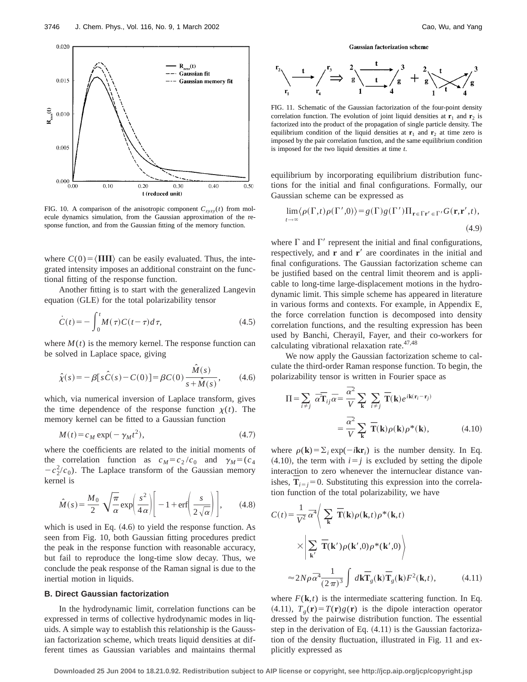

FIG. 10. A comparison of the anisotropic component  $C_{zyzy}(t)$  from molecule dynamics simulation, from the Gaussian approximation of the response function, and from the Gaussian fitting of the memory function.

where  $C(0) = \langle \Pi \Pi \rangle$  can be easily evaluated. Thus, the integrated intensity imposes an additional constraint on the functional fitting of the response function.

Another fitting is to start with the generalized Langevin equation (GLE) for the total polarizability tensor

$$
\dot{C}(t) = -\int_0^t M(\tau)C(t-\tau)d\tau,
$$
\n(4.5)

where  $M(t)$  is the memory kernel. The response function can be solved in Laplace space, giving

$$
\hat{\chi}(s) = -\beta [s\hat{C}(s) - C(0)] = \beta C(0) \frac{\hat{M}(s)}{s + \hat{M}(s)},
$$
(4.6)

which, via numerical inversion of Laplace transform, gives the time dependence of the response function  $\chi(t)$ . The memory kernel can be fitted to a Gaussian function

$$
M(t) = c_M \exp(-\gamma_M t^2),\tag{4.7}
$$

where the coefficients are related to the initial moments of the correlation function as  $c_M = c_2/c_0$  and  $\gamma_M = (c_4)$  $-c_2^2/c_0$ ). The Laplace transform of the Gaussian memory kernel is

$$
\hat{M}(s) = \frac{M_0}{2} \sqrt{\frac{\pi}{\alpha}} \exp\left(\frac{s^2}{4\alpha}\right) \left[ -1 + \text{erf}\left(\frac{s}{2\sqrt{\alpha}}\right) \right],\tag{4.8}
$$

which is used in Eq.  $(4.6)$  to yield the response function. As seen from Fig. 10, both Gaussian fitting procedures predict the peak in the response function with reasonable accuracy, but fail to reproduce the long-time slow decay. Thus, we conclude the peak response of the Raman signal is due to the inertial motion in liquids.

# **B. Direct Gaussian factorization**

In the hydrodynamic limit, correlation functions can be expressed in terms of collective hydrodynamic modes in liquids. A simple way to establish this relationship is the Gaussian factorization scheme, which treats liquid densities at different times as Gaussian variables and maintains thermal

**Gaussian factorization scheme** 



FIG. 11. Schematic of the Gaussian factorization of the four-point density correlation function. The evolution of joint liquid densities at  $\mathbf{r}_1$  and  $\mathbf{r}_2$  is factorized into the product of the propagation of single particle density. The equilibrium condition of the liquid densities at  $\mathbf{r}_1$  and  $\mathbf{r}_2$  at time zero is imposed by the pair correlation function, and the same equilibrium condition is imposed for the two liquid densities at time *t*.

equilibrium by incorporating equilibrium distribution functions for the initial and final configurations. Formally, our Gaussian scheme can be expressed as

$$
\lim_{t \to \infty} \langle \rho(\Gamma, t) \rho(\Gamma', 0) \rangle = g(\Gamma) g(\Gamma') \Pi_{\mathbf{r} \in \Gamma \mathbf{r'} \in \Gamma'} G(\mathbf{r}, \mathbf{r'}, t),
$$
\n(4.9)

where  $\Gamma$  and  $\Gamma'$  represent the initial and final configurations, respectively, and **r** and **r'** are coordinates in the initial and final configurations. The Gaussian factorization scheme can be justified based on the central limit theorem and is applicable to long-time large-displacement motions in the hydrodynamic limit. This simple scheme has appeared in literature in various forms and contexts. For example, in Appendix E, the force correlation function is decomposed into density correlation functions, and the resulting expression has been used by Banchi, Cherayil, Fayer, and their co-workers for calculating vibrational relaxation rate.<sup>47,48</sup>

We now apply the Gaussian factorization scheme to calculate the third-order Raman response function. To begin, the polarizability tensor is written in Fourier space as

$$
\Pi = \sum_{i \neq j} \overline{\alpha} \overline{\mathbf{T}}_{ij} \overline{\alpha} = \frac{\overline{\alpha}^2}{V} \sum_{\mathbf{k}} \sum_{i \neq j} \overline{\mathbf{T}}(\mathbf{k}) e^{i\mathbf{k}(\mathbf{r}_i - \mathbf{r}_j)} \n= \frac{\overline{\alpha}^2}{V} \sum_{\mathbf{k}} \overline{\mathbf{T}}(\mathbf{k}) \rho(\mathbf{k}) \rho^*(\mathbf{k}),
$$
\n(4.10)

where  $\rho(\mathbf{k}) = \sum_i \exp(-i\mathbf{k}\mathbf{r}_i)$  is the number density. In Eq.  $(4.10)$ , the term with  $i=j$  is excluded by setting the dipole interaction to zero whenever the internuclear distance vanishes,  $\overline{T}_{i=j}$  = 0. Substituting this expression into the correlation function of the total polarizability, we have

$$
C(t) = \frac{1}{V^2} \bar{\alpha}^4 \Bigg\langle \sum_{\mathbf{k}} \overline{\mathbf{T}}(\mathbf{k}) \rho(\mathbf{k}, t) \rho^*(\mathbf{k}, t) \times \Bigg| \sum_{\mathbf{k}'} \overline{\mathbf{T}}(\mathbf{k}') \rho(\mathbf{k}', 0) \rho^*(\mathbf{k}', 0) \Bigg\rangle
$$
  

$$
\approx 2N \rho \bar{\alpha}^4 \frac{1}{(2\pi)^3} \int d\mathbf{k} \overline{\mathbf{T}}_g(\mathbf{k}) \overline{\mathbf{T}}_g(\mathbf{k}) F^2(\mathbf{k}, t), \qquad (4.11)
$$

where  $F(\mathbf{k},t)$  is the intermediate scattering function. In Eq. (4.11),  $T_g(\mathbf{r}) = T(\mathbf{r})g(\mathbf{r})$  is the dipole interaction operator dressed by the pairwise distribution function. The essential step in the derivation of Eq.  $(4.11)$  is the Gaussian factorization of the density fluctuation, illustrated in Fig. 11 and explicitly expressed as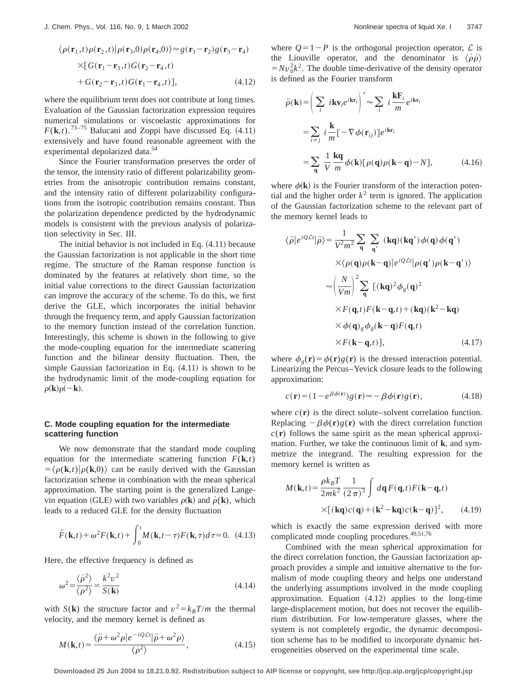$$
\langle \rho(\mathbf{r}_1, t) \rho(\mathbf{r}_2, t) | \rho(\mathbf{r}_3, 0) \rho(\mathbf{r}_4, 0) \rangle \approx g(\mathbf{r}_1 - \mathbf{r}_2) g(\mathbf{r}_3 - \mathbf{r}_4)
$$
  
×[ $G(\mathbf{r}_1 - \mathbf{r}_3, t) G(\mathbf{r}_2 - \mathbf{r}_4, t)$   
+ $G(\mathbf{r}_2 - \mathbf{r}_3, t) G(\mathbf{r}_1 - \mathbf{r}_4, t)],$  (4.12)

where the equilibrium term does not contribute at long times. Evaluation of the Gaussian factorization expression requires numerical simulations or viscoelastic approximations for  $F(\mathbf{k},t)$ .<sup>73–75</sup> Balucani and Zoppi have discussed Eq.  $(4.11)$ extensively and have found reasonable agreement with the experimental depolarized data.<sup>54</sup>

Since the Fourier transformation preserves the order of the tensor, the intensity ratio of different polarizability geometries from the anisotropic contribution remains constant, and the intensity ratio of different polarizability configurations from the isotropic contribution remains constant. Thus the polarization dependence predicted by the hydrodynamic models is consistent with the previous analysis of polarization selectivity in Sec. III.

The initial behavior is not included in Eq.  $(4.11)$  because the Gaussian factorization is not applicable in the short time regime. The structure of the Raman response function is dominated by the features at relatively short time, so the initial value corrections to the direct Gaussian factorization can improve the accuracy of the scheme. To do this, we first derive the GLE, which incorporates the initial behavior through the frequency term, and apply Gaussian factorization to the memory function instead of the correlation function. Interestingly, this scheme is shown in the following to give the mode-coupling equation for the intermediate scattering function and the bilinear density fluctuation. Then, the simple Gaussian factorization in Eq.  $(4.11)$  is shown to be the hydrodynamic limit of the mode-coupling equation for  $\rho(\mathbf{k})\rho(-\mathbf{k}).$ 

# **C. Mode coupling equation for the intermediate scattering function**

We now demonstrate that the standard mode coupling equation for the intermediate scattering function  $F(\mathbf{k},t)$  $=\langle \rho(\mathbf{k},t)|\rho(\mathbf{k},0)\rangle$  can be easily derived with the Gaussian factorization scheme in combination with the mean spherical approximation. The starting point is the generalized Langevin equation (GLE) with two variables  $\rho(\mathbf{k})$  and  $\dot{\rho}(\mathbf{k})$ , which leads to a reduced GLE for the density fluctuation

$$
\ddot{F}(\mathbf{k},t) + \omega^2 F(\mathbf{k},t) + \int_0^t M(\mathbf{k},t-\tau)F(\mathbf{k},\tau)d\tau = 0.
$$
 (4.13)

Here, the effective frequency is defined as

$$
\omega^2 = \frac{\langle \dot{\rho}^2 \rangle}{\langle \rho^2 \rangle} = \frac{k^2 v^2}{S(\mathbf{k})}
$$
(4.14)

with *S*(**k**) the structure factor and  $v^2 = k_B T/m$  the thermal velocity, and the memory kernel is defined as

$$
M(\mathbf{k},t) = \frac{\langle \ddot{\rho} + \omega^2 \rho | e^{-iQ\mathcal{L}t} | \ddot{\rho} + \omega^2 \rho \rangle}{\langle \dot{\rho}^2 \rangle},
$$
(4.15)

where  $Q=1-P$  is the orthogonal projection operator,  $\mathcal L$  is the Liouville operator, and the denominator is  $\langle \dot{\rho} \dot{\rho} \rangle$  $=Nv_0^2k^2$ . The double time-derivative of the density operator is defined as the Fourier transform

$$
\ddot{\rho}(\mathbf{k}) = \left(\sum_{i} i \mathbf{k} \mathbf{v}_{i} e^{i \mathbf{k} \mathbf{r}_{i}}\right)' \approx \sum_{i} i \frac{\mathbf{k} \mathbf{F}_{i}}{m} e^{i \mathbf{k} \mathbf{r}_{i}}
$$

$$
= \sum_{i \neq j} i \frac{\mathbf{k}}{m} \left[-\nabla \phi(\mathbf{r}_{ij})\right] e^{i \mathbf{k} \mathbf{r}_{i}}
$$

$$
= \sum_{\mathbf{q}} \frac{1}{V} \frac{\mathbf{k} \mathbf{q}}{m} \phi(\mathbf{k}) \left[\rho(\mathbf{q}) \rho(\mathbf{k} - \mathbf{q}) - N\right], \tag{4.16}
$$

where  $\phi(\mathbf{k})$  is the Fourier transform of the interaction potential and the higher order  $k^2$  term is ignored. The application of the Gaussian factorization scheme to the relevant part of the memory kernel leads to

$$
\langle \ddot{\rho} | e^{i\mathcal{Q} \mathcal{L}t} | \ddot{\rho} \rangle = \frac{1}{V^2 m^2} \sum_{\mathbf{q}} \sum_{\mathbf{q}'} (\mathbf{kq})(\mathbf{kq}') \phi(\mathbf{q}) \phi(\mathbf{q}') \times \langle \rho(\mathbf{q}) \rho(\mathbf{k} - \mathbf{q}) | e^{i\mathcal{Q} \mathcal{L}t} | \rho(\mathbf{q}') \rho(\mathbf{k} - \mathbf{q}') \rangle
$$
  

$$
\approx \left(\frac{N}{Vm}\right)^2 \sum_{\mathbf{q}} [(\mathbf{kq})^2 \phi_g(\mathbf{q})^2
$$

$$
\times F(\mathbf{q}, t) F(\mathbf{k} - \mathbf{q}, t) + (\mathbf{kq})(\mathbf{k}^2 - \mathbf{kq})
$$

$$
\times \phi(\mathbf{q})_g \phi_g(\mathbf{k} - \mathbf{q}) F(\mathbf{q}, t)
$$

$$
\times F(\mathbf{k} - \mathbf{q}, t)], \qquad (4.17)
$$

where  $\phi_g(\mathbf{r}) = \phi(\mathbf{r})g(\mathbf{r})$  is the dressed interaction potential. Linearizing the Percus–Yevick closure leads to the following approximation:

$$
c(\mathbf{r}) = (1 - e^{\beta \phi(\mathbf{r})})g(\mathbf{r}) \approx -\beta \phi(\mathbf{r})g(\mathbf{r}), \qquad (4.18)
$$

where  $c(\mathbf{r})$  is the direct solute–solvent correlation function. Replacing  $-\beta \phi(\mathbf{r})g(\mathbf{r})$  with the direct correlation function  $c(\mathbf{r})$  follows the same spirit as the mean spherical approximation. Further, we take the continuous limit of **k**, and symmetrize the integrand. The resulting expression for the memory kernel is written as

$$
M(\mathbf{k},t) = \frac{\rho k_B T}{2mk^2} \frac{1}{(2\pi)^3} \int d\mathbf{q} F(\mathbf{q},t) F(\mathbf{k}-\mathbf{q},t)
$$

$$
\times [(\mathbf{kq})c(\mathbf{q}) + (\mathbf{k}^2 - \mathbf{kq})c(\mathbf{k}-\mathbf{q})]^2, \qquad (4.19)
$$

which is exactly the same expression derived with more complicated mode coupling procedures.<sup>49,51,76</sup>

Combined with the mean spherical approximation for the direct correlation function, the Gaussian factorization approach provides a simple and intuitive alternative to the formalism of mode coupling theory and helps one understand the underlying assumptions involved in the mode coupling approximation. Equation  $(4.12)$  applies to the long-time large-displacement motion, but does not recover the equilibrium distribution. For low-temperature glasses, where the system is not completely ergodic, the dynamic decomposition scheme has to be modified to incorporate dynamic heterogeneities observed on the experimental time scale.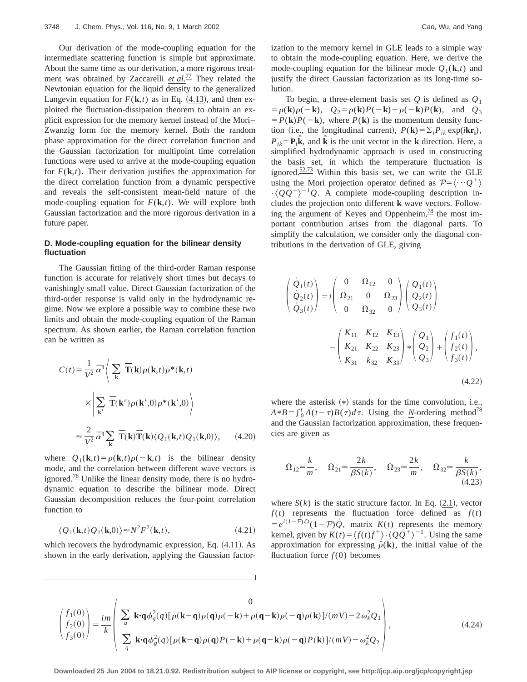Our derivation of the mode-coupling equation for the intermediate scattering function is simple but approximate. About the same time as our derivation, a more rigorous treatment was obtained by Zaccarelli *et al.*<sup>77</sup> They related the Newtonian equation for the liquid density to the generalized Langevin equation for  $F(\mathbf{k},t)$  as in Eq. (4.13), and then exploited the fluctuation-dissipation theorem to obtain an explicit expression for the memory kernel instead of the Mori– Zwanzig form for the memory kernel. Both the random phase approximation for the direct correlation function and the Gaussian factorization for multipoint time correlation functions were used to arrive at the mode-coupling equation for  $F(\mathbf{k},t)$ . Their derivation justifies the approximation for the direct correlation function from a dynamic perspective and reveals the self-consistent mean-field nature of the mode-coupling equation for  $F(\mathbf{k},t)$ . We will explore both Gaussian factorization and the more rigorous derivation in a future paper.

# **D. Mode-coupling equation for the bilinear density fluctuation**

The Gaussian fitting of the third-order Raman response function is accurate for relatively short times but decays to vanishingly small value. Direct Gaussian factorization of the third-order response is valid only in the hydrodynamic regime. Now we explore a possible way to combine these two limits and obtain the mode-coupling equation of the Raman spectrum. As shown earlier, the Raman correlation function can be written as

$$
C(t) = \frac{1}{V^2} \bar{\alpha}^4 \Bigg\langle \sum_{\mathbf{k}} \overline{\mathbf{T}}(\mathbf{k}) \rho(\mathbf{k}, t) \rho^*(\mathbf{k}, t) \times \Bigg| \sum_{\mathbf{k}'} \overline{\mathbf{T}}(\mathbf{k}') \rho(\mathbf{k}', 0) \rho^*(\mathbf{k}', 0) \Bigg\rangle
$$
  

$$
\approx \frac{2}{V^2} \bar{\alpha}^4 \sum_{\mathbf{k}} \overline{\mathbf{T}}(\mathbf{k}) \overline{\mathbf{T}}(\mathbf{k}) \langle Q_1(\mathbf{k}, t) Q_1(\mathbf{k}, 0) \rangle, \qquad (4.20)
$$

where  $Q_1(\mathbf{k},t) = \rho(\mathbf{k},t)\rho(-\mathbf{k},t)$  is the bilinear density mode, and the correlation between different wave vectors is ignored. $\frac{78}{6}$  Unlike the linear density mode, there is no hydrodynamic equation to describe the bilinear mode. Direct Gaussian decomposition reduces the four-point correlation function to

$$
\langle Q_1(\mathbf{k},t)Q_1(\mathbf{k},0)\rangle \approx N^2 F^2(\mathbf{k},t),\tag{4.21}
$$

which recovers the hydrodynamic expression, Eq.  $(4.11)$ . As shown in the early derivation, applying the Gaussian factorization to the memory kernel in GLE leads to a simple way to obtain the mode-coupling equation. Here, we derive the mode-coupling equation for the bilinear mode  $Q_1(\mathbf{k},t)$  and justify the direct Gaussian factorization as its long-time solution.

To begin, a three-element basis set *Q* is defined as *Q*<sup>1</sup>  $= \rho(\mathbf{k})\rho(-\mathbf{k}), \quad Q_2 = \rho(\mathbf{k})P(-\mathbf{k})+\rho(-\mathbf{k})P(\mathbf{k}), \text{ and } Q_3$  $= P(\mathbf{k})P(-\mathbf{k})$ , where  $P(\mathbf{k})$  is the momentum density function (i.e., the longitudinal current),  $P(\mathbf{k}) = \sum_i P_{ik} \exp(i\mathbf{k}\mathbf{r_i})$ ,  $P_{ik} = \mathbf{P}_i \hat{\mathbf{k}}$ , and  $\hat{\mathbf{k}}$  is the unit vector in the **k** direction. Here, a simplified hydrodynamic approach is used in constructing the basis set, in which the temperature fluctuation is ignored. $\frac{52,73}{ }$  Within this basis set, we can write the GLE using the Mori projection operator defined as  $P = \langle \cdots Q^+ \rangle$  $\cdot \langle QQ^+\rangle^{-1}Q$ . A complete mode-coupling description includes the projection onto different **k** wave vectors. Following the argument of Keyes and Oppenheim, $\frac{78}{3}$  the most important contribution arises from the diagonal parts. To simplify the calculation, we consider only the diagonal contributions in the derivation of GLE, giving

$$
\begin{pmatrix}\n\dot{Q}_1(t) \\
\dot{Q}_2(t) \\
\dot{Q}_3(t)\n\end{pmatrix} = i \begin{pmatrix}\n0 & \Omega_{12} & 0 \\
\Omega_{21} & 0 & \Omega_{23} \\
0 & \Omega_{32} & 0\n\end{pmatrix} \begin{pmatrix}\nQ_1(t) \\
Q_2(t) \\
Q_3(t)\n\end{pmatrix}
$$
\n
$$
- \begin{pmatrix}\nK_{11} & K_{12} & K_{13} \\
K_{21} & K_{22} & K_{23} \\
K_{31} & k_{32} & K_{33}\n\end{pmatrix} * \begin{pmatrix}\nQ_1 \\
Q_2 \\
Q_3\n\end{pmatrix} + \begin{pmatrix}\nf_1(t) \\
f_2(t) \\
f_3(t)\n\end{pmatrix},
$$
\n(4.22)

where the asterisk  $(*)$  stands for the time convolution, i.e.,  $A*B = \int_0^t A(t-\tau)B(\tau)d\tau$ . Using the *N*-ordering method<sup>78</sup> and the Gaussian factorization approximation, these frequencies are given as

$$
\Omega_{12} = \frac{k}{m}, \quad \Omega_{21} \approx \frac{2k}{\beta S(k)}, \quad \Omega_{23} \approx \frac{2k}{m}, \quad \Omega_{32} \approx \frac{k}{\beta S(k)},
$$
\n(4.23)

where  $S(k)$  is the static structure factor. In Eq.  $(2.1)$ , vector  $f(t)$  represents the fluctuation force defined as  $f(t)$  $= e^{i(1-\hat{P})\mathcal{L}t}(1-\hat{P})\dot{Q}$ , matrix  $K(t)$  represents the memory kernel, given by  $K(t) = \langle f(t)f^{+}\rangle \cdot \langle QQ^{+}\rangle^{-1}$ . Using the same approximation for expressing  $\ddot{\rho}(\mathbf{k})$ , the initial value of the fluctuation force  $f(0)$  becomes

$$
\begin{pmatrix} f_1(0) \\ f_2(0) \\ f_3(0) \end{pmatrix} = \frac{im}{k} \begin{pmatrix} \sum_{q} \mathbf{k} \cdot \mathbf{q} \phi_g^2(q) [\rho(\mathbf{k} - \mathbf{q}) \rho(\mathbf{q}) \rho(-\mathbf{k}) + \rho(\mathbf{q} - \mathbf{k}) \rho(-\mathbf{q}) \rho(\mathbf{k})] / (mV) - 2\omega_k^2 Q_1 \\ \sum_{q} \mathbf{k} \cdot \mathbf{q} \phi_g^2(q) [\rho(\mathbf{k} - \mathbf{q}) \rho(\mathbf{q}) P(-\mathbf{k}) + \rho(\mathbf{q} - \mathbf{k}) \rho(-\mathbf{q}) P(\mathbf{k})] / (mV) - \omega_k^2 Q_2 \end{pmatrix},
$$
\n(4.24)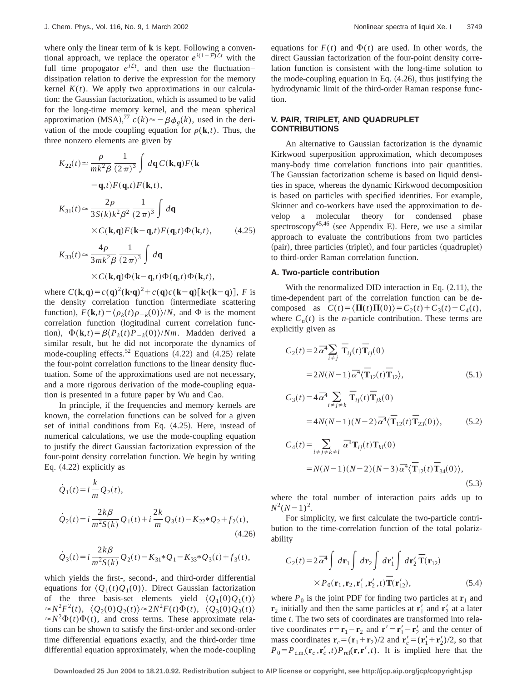where only the linear term of **k** is kept. Following a conventional approach, we replace the operator  $e^{i(1-\mathcal{P})\mathcal{L}t}$  with the full time propogator  $e^{i\mathcal{L}t}$ , and then use the fluctuation– dissipation relation to derive the expression for the memory kernel  $K(t)$ . We apply two approximations in our calculation: the Gaussian factorization, which is assumed to be valid for the long-time memory kernel, and the mean spherical approximation (MSA),<sup>77</sup>  $c(k) \approx -\beta \phi_g(k)$ , used in the derivation of the mode coupling equation for  $\rho(\mathbf{k},t)$ . Thus, the three nonzero elements are given by

$$
K_{22}(t) \approx \frac{\rho}{mk^2 \beta} \frac{1}{(2\pi)^3} \int d\mathbf{q} C(\mathbf{k}, \mathbf{q}) F(\mathbf{k}
$$
  
\n
$$
-\mathbf{q}, t) F(\mathbf{q}, t) F(\mathbf{k}, t),
$$
  
\n
$$
K_{31}(t) \approx \frac{2\rho}{3S(k)k^2 \beta^2} \frac{1}{(2\pi)^3} \int d\mathbf{q}
$$
  
\n
$$
\times C(\mathbf{k}, \mathbf{q}) F(\mathbf{k} - \mathbf{q}, t) F(\mathbf{q}, t) \Phi(\mathbf{k}, t),
$$
 (4.25)  
\n
$$
K_{33}(t) \approx \frac{4\rho}{3mk^2 \beta} \frac{1}{(2\pi)^3} \int d\mathbf{q}
$$

$$
\times C(\mathbf{k}, \mathbf{q}) \Phi(\mathbf{k} - \mathbf{q}, t) \Phi(\mathbf{q}, t) \Phi(\mathbf{k}, t),
$$

where  $C(\mathbf{k}, \mathbf{q}) = c(\mathbf{q})^2 (\mathbf{k} \cdot \mathbf{q})^2 + c(\mathbf{q})c(\mathbf{k} - \mathbf{q}) [\mathbf{k} \cdot (\mathbf{k} - \mathbf{q})], F$  is the density correlation function (intermediate scattering function),  $F(\mathbf{k},t) = \langle \rho_k(t) \rho_{-k}(0) \rangle/N$ , and  $\Phi$  is the moment correlation function (logitudinal current correlation function),  $\Phi(\mathbf{k},t) = \beta \langle P_k(t)P_{-k}(0) \rangle / Nm$ . Madden derived a similar result, but he did not incorporate the dynamics of mode-coupling effects.<sup>52</sup> Equations  $(4.22)$  and  $(4.25)$  relate the four-point correlation functions to the linear density fluctuation. Some of the approximations used are not necessary, and a more rigorous derivation of the mode-coupling equation is presented in a future paper by Wu and Cao.

In principle, if the frequencies and memory kernels are known, the correlation functions can be solved for a given set of initial conditions from Eq.  $(4.25)$ . Here, instead of numerical calculations, we use the mode-coupling equation to justify the direct Gaussian factorization expression of the four-point density correlation function. We begin by writing Eq.  $(4.22)$  explicitly as

$$
\dot{Q}_1(t) = i \frac{k}{m} Q_2(t),
$$
\n
$$
\dot{Q}_2(t) = i \frac{2k\beta}{m^2 S(k)} Q_1(t) + i \frac{2k}{m} Q_3(t) - K_{22} * Q_2 + f_2(t),
$$
\n(4.26)

$$
\dot{Q}_3(t) = i \frac{2k\beta}{m^2 S(k)} Q_2(t) - K_{31} * Q_1 - K_{33} * Q_3(t) + f_3(t),
$$

which yields the first-, second-, and third-order differential equations for  $\langle Q_1(t)Q_1(0)\rangle$ . Direct Gaussian factorization of the three basis-set elements yield  $\langle Q_1(0)Q_1(t)\rangle$  $\langle Q_2(0)Q_2(t)\rangle \approx 2N^2F(t)\Phi(t), \langle Q_3(0)Q_3(t)\rangle$  $\approx N^2 \Phi(t) \Phi(t)$ , and cross terms. These approximate relations can be shown to satisfy the first-order and second-order time differential equations exactly, and the third-order time differential equation approximately, when the mode-coupling equations for  $F(t)$  and  $\Phi(t)$  are used. In other words, the direct Gaussian factorization of the four-point density correlation function is consistent with the long-time solution to the mode-coupling equation in Eq.  $(4.26)$ , thus justifying the hydrodynamic limit of the third-order Raman response function.

# **V. PAIR, TRIPLET, AND QUADRUPLET CONTRIBUTIONS**

An alternative to Gaussian factorization is the dynamic Kirkwood superposition approximation, which decomposes many-body time correlation functions into pair quantities. The Gaussian factorization scheme is based on liquid densities in space, whereas the dynamic Kirkwood decomposition is based on particles with specified identities. For example, Skinner and co-workers have used the approximation to develop a molecular theory for condensed phase spectroscopy<sup>45,46</sup> (see Appendix E). Here, we use a similar approach to evaluate the contributions from two particles  $(pair)$ , three particles (triplet), and four particles (quadruplet) to third-order Raman correlation function.

### **A. Two-particle contribution**

With the renormalized DID interaction in Eq.  $(2.11)$ , the time-dependent part of the correlation function can be decomposed as  $C(t) = \langle \Pi(t) \Pi(0) \rangle = C_2(t) + C_3(t) + C_4(t)$ , where  $C_n(t)$  is the *n*-particle contribution. These terms are explicitly given as

$$
C_2(t) = 2 \overline{\alpha}^4 \sum_{i \neq j} \overline{\mathbf{T}}_{ij}(t) \overline{\mathbf{T}}_{ij}(0)
$$
  
= 2N(N-1) \overline{\alpha}^4 \langle \overline{\mathbf{T}}\_{12}(t) \overline{\mathbf{T}}\_{12} \rangle, (5.1)

$$
C_3(t) = 4 \overline{\alpha}^4 \sum_{i \neq j \neq k} \overline{\mathbf{T}}_{ij}(t) \overline{\mathbf{T}}_{jk}(0)
$$
  
= 4N(N-1)(N-2)  $\overline{\alpha}^4 \langle \overline{\mathbf{T}}_{12}(t) \overline{\mathbf{T}}_{23}(0) \rangle$ , (5.2)

$$
C_4(t) = \sum_{i \neq j \neq k \neq l} \overline{\alpha}^4 \mathbf{T}_{ij}(t) \mathbf{T}_{kl}(0)
$$
  
=  $N(N-1)(N-2)(N-3) \overline{\alpha}^4 \langle \overline{\mathbf{T}}_{12}(t) \overline{\mathbf{T}}_{34}(0) \rangle,$  (5.3)

where the total number of interaction pairs adds up to  $N^2(N-1)^2$ .

For simplicity, we first calculate the two-particle contribution to the time-correlation function of the total polarizability

$$
C_2(t) = 2\overline{\alpha}^4 \int d\mathbf{r}_1 \int d\mathbf{r}_2 \int d\mathbf{r}'_1 \int d\mathbf{r}'_2 \overline{\mathbf{T}}(\mathbf{r}_{12})
$$
  
 
$$
\times P_0(\mathbf{r}_1, \mathbf{r}_2, \mathbf{r}'_1, \mathbf{r}'_2, t) \overline{\mathbf{T}}(\mathbf{r}'_{12}),
$$
 (5.4)

where  $P_0$  is the joint PDF for finding two particles at  $\mathbf{r}_1$  and  $\mathbf{r}_2$  initially and then the same particles at  $\mathbf{r}_1'$  and  $\mathbf{r}_2'$  at a later time *t*. The two sets of coordinates are transformed into relative coordinates  $\mathbf{r} = \mathbf{r}_1 - \mathbf{r}_2$  and  $\mathbf{r}' = \mathbf{r}'_1 - \mathbf{r}'_2$  and the center of mass coordinates  $\mathbf{r}_c = (\mathbf{r}_1 + \mathbf{r}_2)/2$  and  $\mathbf{r}'_c = (\mathbf{r}'_1 + \mathbf{r}'_2)/2$ , so that  $P_0 = P_{\text{c.m.}}(\mathbf{r}_c, \mathbf{r}_c', t) P_{\text{rel}}(\mathbf{r}, \mathbf{r}', t)$ . It is implied here that the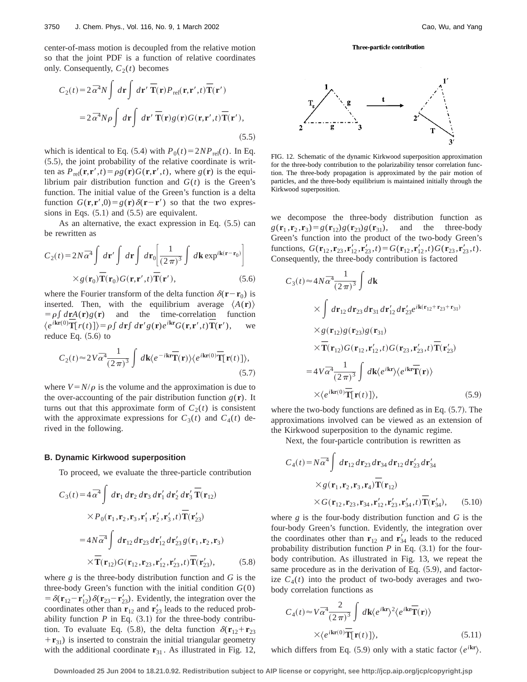center-of-mass motion is decoupled from the relative motion so that the joint PDF is a function of relative coordinates only. Consequently,  $C_2(t)$  becomes

$$
C_2(t) = 2\,\overline{\alpha}^4 N \int d\mathbf{r} \int d\mathbf{r}' \overline{\mathbf{T}}(\mathbf{r}) P_{\text{rel}}(\mathbf{r}, \mathbf{r}', t) \overline{\mathbf{T}}(\mathbf{r}')
$$
  
=  $2\,\overline{\alpha}^4 N \rho \int d\mathbf{r} \int d\mathbf{r}' \overline{\mathbf{T}}(\mathbf{r}) g(\mathbf{r}) G(\mathbf{r}, \mathbf{r}', t) \overline{\mathbf{T}}(\mathbf{r}'),$  (5.5)

which is identical to Eq. (5.4) with  $P_0(t) = 2NP_{rel}(t)$ . In Eq.  $(5.5)$ , the joint probability of the relative coordinate is written as  $P_{rel}(\mathbf{r}, \mathbf{r}', t) = \rho g(\mathbf{r}) G(\mathbf{r}, \mathbf{r}', t)$ , where  $g(\mathbf{r})$  is the equilibrium pair distribution function and  $G(t)$  is the Green's function. The initial value of the Green's function is a delta function  $G(\mathbf{r}, \mathbf{r}', 0) = g(\mathbf{r})\delta(\mathbf{r} - \mathbf{r}')$  so that the two expressions in Eqs.  $(5.1)$  and  $(5.5)$  are equivalent.

As an alternative, the exact expression in Eq.  $(5.5)$  can be rewritten as

$$
C_2(t) = 2N\overline{\alpha}^4 \int d\mathbf{r}' \int d\mathbf{r} \int d\mathbf{r} \int d\mathbf{r} \left[ \frac{1}{(2\pi)^3} \int d\mathbf{k} \exp^{i\mathbf{k}(\mathbf{r}-\mathbf{r}_0)} \right]
$$

$$
\times g(\mathbf{r}_0) \overline{\mathbf{T}}(\mathbf{r}_0) G(\mathbf{r}, \mathbf{r}', t) \overline{\mathbf{T}}(\mathbf{r}'), \qquad (5.6)
$$

where the Fourier transform of the delta function  $\delta(\mathbf{r}-\mathbf{r}_0)$  is inserted. Then, with the equilibrium average  $\langle A(\mathbf{r})\rangle$  $= \rho \int d\mathbf{r} A(\mathbf{r}) g(\mathbf{r})$  and the time-correlation function  $\frac{d}{dt}e^{ik\mathbf{r}(0)}\overline{\mathbf{T}}[r(t)] = \rho \int d\mathbf{r} \int d\mathbf{r}' g(\mathbf{r}) e^{ik\mathbf{r}} G(\mathbf{r}, \mathbf{r}', t) \overline{\mathbf{T}}(\mathbf{r}'),$  we reduce Eq.  $(5.6)$  to

$$
C_2(t) \approx 2V\overline{\alpha}^4 \frac{1}{(2\pi)^3} \int d\mathbf{k} \langle e^{-i\mathbf{k}\mathbf{r}} \overline{\mathbf{T}}(\mathbf{r}) \rangle \langle e^{i\mathbf{k}\mathbf{r}(0)} \overline{\mathbf{T}}[\mathbf{r}(t)] \rangle, \tag{5.7}
$$

where  $V = N/\rho$  is the volume and the approximation is due to the over-accounting of the pair distribution function  $g(\mathbf{r})$ . It turns out that this approximate form of  $C_2(t)$  is consistent with the approximate expressions for  $C_3(t)$  and  $C_4(t)$  derived in the following.

### **B. Dynamic Kirkwood superposition**

To proceed, we evaluate the three-particle contribution

$$
C_3(t) = 4\overline{\alpha}^4 \int d\mathbf{r}_1 d\mathbf{r}_2 d\mathbf{r}_3 d\mathbf{r}'_1 d\mathbf{r}'_2 d\mathbf{r}'_3 \overline{\mathbf{T}}(\mathbf{r}_{12})
$$
  
 
$$
\times P_0(\mathbf{r}_1, \mathbf{r}_2, \mathbf{r}_3, \mathbf{r}'_1, \mathbf{r}'_2, \mathbf{r}'_3, t) \overline{\mathbf{T}}(\mathbf{r}'_{23})
$$
  

$$
= 4N\overline{\alpha}^4 \int d\mathbf{r}_{12} d\mathbf{r}_{23} d\mathbf{r}'_{12} d\mathbf{r}'_{23} g(\mathbf{r}_1, \mathbf{r}_2, \mathbf{r}_3)
$$
  

$$
\times \overline{\mathbf{T}}(\mathbf{r}_{12}) G(\mathbf{r}_{12}, \mathbf{r}_{23}, \mathbf{r}'_{12}, \mathbf{r}'_{23}, t) \overline{\mathbf{T}}(\mathbf{r}'_{23}), \qquad (5.8)
$$

where *g* is the three-body distribution function and *G* is the three-body Green's function with the initial condition *G*(0)  $= \delta(\mathbf{r}_{12} - \mathbf{r}'_{12}) \delta(\mathbf{r}_{23} - \mathbf{r}'_{23})$ . Evidently, the integration over the coordinates other than  $\mathbf{r}_{12}$  and  $\mathbf{r}'_{23}$  leads to the reduced probability function  $P$  in Eq.  $(3.1)$  for the three-body contribution. To evaluate Eq. (5.8), the delta function  $\delta(\mathbf{r}_{12}+\mathbf{r}_{23})$  $+\mathbf{r}_{31}$ ) is inserted to constrain the initial triangular geometry with the additional coordinate  $\mathbf{r}_{31}$ . As illustrated in Fig. 12,

#### Three-particle contribution



FIG. 12. Schematic of the dynamic Kirkwood superposition approximation for the three-body contribution to the polarizability tensor correlation function. The three-body propagation is approximated by the pair motion of particles, and the three-body equilibrium is maintained initially through the Kirkwood superposition.

we decompose the three-body distribution function as  $g(\mathbf{r}_1, \mathbf{r}_2, \mathbf{r}_3) = g(\mathbf{r}_{12})g(\mathbf{r}_{23})g(\mathbf{r}_{31}),$  and the three-body Green's function into the product of the two-body Green's functions,  $G(\mathbf{r}_{12}, \mathbf{r}_{23}, \mathbf{r}'_{12}, \mathbf{r}'_{23}, t) = G(\mathbf{r}_{12}, \mathbf{r}'_{12}, t) G(\mathbf{r}_{23}, \mathbf{r}'_{23}, t)$ . Consequently, the three-body contribution is factored

$$
C_3(t) \approx 4N\overline{\alpha}^4 \frac{1}{(2\pi)^3} \int d\mathbf{k}
$$
  
\n
$$
\times \int d\mathbf{r}_{12} d\mathbf{r}_{23} d\mathbf{r}_{31} d\mathbf{r}'_{12} d\mathbf{r}'_{23} e^{i\mathbf{k}(\mathbf{r}_{12} + \mathbf{r}_{23} + \mathbf{r}_{31})}
$$
  
\n
$$
\times g(\mathbf{r}_{12}) g(\mathbf{r}_{23}) g(\mathbf{r}_{31})
$$
  
\n
$$
\times \overline{\mathbf{T}}(\mathbf{r}_{12}) G(\mathbf{r}_{12}, \mathbf{r}'_{12}, t) G(\mathbf{r}_{23}, \mathbf{r}'_{23}, t) \overline{\mathbf{T}}(\mathbf{r}'_{23})
$$
  
\n
$$
= 4V\overline{\alpha}^4 \frac{1}{(2\pi)^3} \int d\mathbf{k} \langle e^{i\mathbf{k}\mathbf{r}} \rangle \langle e^{i\mathbf{k}\mathbf{r}} \overline{\mathbf{T}}(\mathbf{r}) \rangle
$$
  
\n
$$
\times \langle e^{i\mathbf{k}\mathbf{r}(0)} \overline{\mathbf{T}}[\mathbf{r}(t)] \rangle, \qquad (5.9)
$$

where the two-body functions are defined as in Eq.  $(5.7)$ . The approximations involved can be viewed as an extension of the Kirkwood superposition to the dynamic regime.

Next, the four-particle contribution is rewritten as

$$
C_4(t) = N\overline{\alpha}^4 \int d\mathbf{r}_{12} d\mathbf{r}_{23} d\mathbf{r}_{34} d\mathbf{r}_{12} d\mathbf{r}'_{23} d\mathbf{r}'_{34}
$$
  
× $g(\mathbf{r}_1, \mathbf{r}_2, \mathbf{r}_3, \mathbf{r}_4) \overline{\mathbf{T}}(\mathbf{r}_{12})$   
× $G(\mathbf{r}_{12}, \mathbf{r}_{23}, \mathbf{r}_{34}, \mathbf{r}'_{12}, \mathbf{r}'_{23}, \mathbf{r}'_{34}, t) \overline{\mathbf{T}}(\mathbf{r}'_{34}),$  (5.10)

where *g* is the four-body distribution function and *G* is the four-body Green's function. Evidently, the integration over the coordinates other than  $\mathbf{r}_{12}$  and  $\mathbf{r}'_{34}$  leads to the reduced probability distribution function  $P$  in Eq.  $(3.1)$  for the fourbody contribution. As illustrated in Fig. 13, we repeat the same procedure as in the derivation of Eq.  $(5.9)$ , and factorize  $C_4(t)$  into the product of two-body averages and twobody correlation functions as

$$
C_4(t) \approx V\overline{\alpha}^4 \frac{2}{(2\pi)^3} \int d\mathbf{k} \langle e^{i\mathbf{k}\mathbf{r}} \rangle^2 \langle e^{i\mathbf{k}\mathbf{r}} \overline{\mathbf{T}}(\mathbf{r}) \rangle
$$
  
 
$$
\times \langle e^{i\mathbf{k}\mathbf{r}(0)} \overline{\mathbf{T}}[\mathbf{r}(t)] \rangle,
$$
 (5.11)

which differs from Eq. (5.9) only with a static factor  $\langle e^{i\mathbf{kr}} \rangle$ .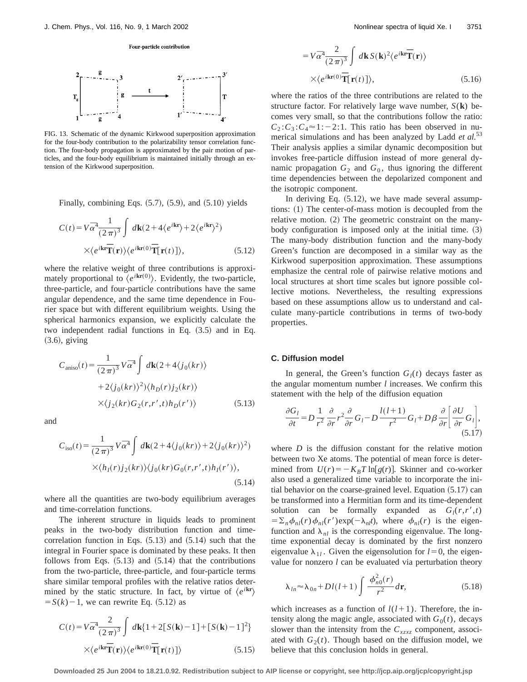#### Four-particle contribution



FIG. 13. Schematic of the dynamic Kirkwood superposition approximation for the four-body contribution to the polarizability tensor correlation function. The four-body propagation is approximated by the pair motion of particles, and the four-body equilibrium is maintained initially through an extension of the Kirkwood superposition.

Finally, combining Eqs.  $(5.7)$ ,  $(5.9)$ , and  $(5.10)$  yields

$$
C(t) = V\overline{\alpha}^{4} \frac{1}{(2\pi)^{3}} \int d\mathbf{k} (2 + 4\langle e^{i\mathbf{k}\mathbf{r}} \rangle + 2\langle e^{i\mathbf{k}\mathbf{r}} \rangle^{2})
$$

$$
\times \langle e^{i\mathbf{k}\mathbf{r}} \overline{\mathbf{T}}(\mathbf{r}) \rangle \langle e^{i\mathbf{k}\mathbf{r}(0)} \overline{\mathbf{T}}[\mathbf{r}(t)] \rangle, \qquad (5.12)
$$

where the relative weight of three contributions is approximately proportional to  $\langle e^{i\mathbf{kr}(0)} \rangle$ . Evidently, the two-particle, three-particle, and four-particle contributions have the same angular dependence, and the same time dependence in Fourier space but with different equilibrium weights. Using the spherical harmonics expansion, we explicitly calculate the two independent radial functions in Eq.  $(3.5)$  and in Eq.  $(3.6)$ , giving

$$
C_{\text{aniso}}(t) = \frac{1}{(2\pi)^3} V \overline{\alpha}^4 \int d\mathbf{k} (2 + 4 \langle j_0(kr) \rangle
$$
  
+2\langle j\_0(kr) \rangle^2) \langle h\_D(r) j\_2(kr) \rangle  
×\langle j\_2(kr) G\_2(r,r',t) h\_D(r') \rangle (5.13)

and

$$
C_{\rm iso}(t) = \frac{1}{(2\pi)^3} V \overline{\alpha}^4 \int d\mathbf{k} (2 + 4\langle j_0(kr) \rangle + 2\langle j_0(kr) \rangle^2)
$$

$$
\times \langle h_I(r) j_2(kr) \rangle \langle j_0(kr) G_0(r, r', t) h_I(r') \rangle,
$$
(5.14)

where all the quantities are two-body equilibrium averages and time-correlation functions.

The inherent structure in liquids leads to prominent peaks in the two-body distribution function and timecorrelation function in Eqs.  $(5.13)$  and  $(5.14)$  such that the integral in Fourier space is dominated by these peaks. It then follows from Eqs.  $(5.13)$  and  $(5.14)$  that the contributions from the two-particle, three-particle, and four-particle terms share similar temporal profiles with the relative ratios determined by the static structure. In fact, by virtue of  $\langle e^{i\mathbf{k}\mathbf{r}}\rangle$  $S(k)-1$ , we can rewrite Eq.  $(5.12)$  as

$$
C(t) = V\overline{\alpha}^{4} \frac{2}{(2\pi)^{3}} \int d\mathbf{k} \{1 + 2[S(\mathbf{k}) - 1] + [S(\mathbf{k}) - 1]^{2}\}
$$

$$
\times \langle e^{i\mathbf{kr}} \overline{\mathbf{T}}(\mathbf{r}) \rangle \langle e^{i\mathbf{kr}(0)} \overline{\mathbf{T}}[\mathbf{r}(t)] \rangle
$$
(5.15)

$$
= V\bar{\alpha}^{4} \frac{2}{(2\pi)^{3}} \int d\mathbf{k} S(\mathbf{k})^{2} \langle e^{i\mathbf{k}\mathbf{r}} \overline{\mathbf{T}}(\mathbf{r}) \rangle
$$
  
× $\langle e^{i\mathbf{k}\mathbf{r}(0)} \overline{\mathbf{T}}[\mathbf{r}(t)] \rangle$ , (5.16)

where the ratios of the three contributions are related to the structure factor. For relatively large wave number, *S*(**k**) becomes very small, so that the contributions follow the ratio:  $C_2$ : $C_3$ : $C_4 \approx 1$ :-2:1. This ratio has been observed in numerical simulations and has been analyzed by Ladd *et al.*<sup>53</sup> Their analysis applies a similar dynamic decomposition but invokes free-particle diffusion instead of more general dynamic propagation  $G_2$  and  $G_0$ , thus ignoring the different time dependencies between the depolarized component and the isotropic component.

In deriving Eq.  $(5.12)$ , we have made several assumptions:  $(1)$  The center-of-mass motion is decoupled from the relative motion.  $(2)$  The geometric constraint on the manybody configuration is imposed only at the initial time.  $(3)$ The many-body distribution function and the many-body Green's function are decomposed in a similar way as the Kirkwood superposition approximation. These assumptions emphasize the central role of pairwise relative motions and local structures at short time scales but ignore possible collective motions. Nevertheless, the resulting expressions based on these assumptions allow us to understand and calculate many-particle contributions in terms of two-body properties.

#### **C. Diffusion model**

In general, the Green's function  $G_l(t)$  decays faster as the angular momentum number *l* increases. We confirm this statement with the help of the diffusion equation

$$
\frac{\partial G_l}{\partial t} = D \frac{1}{r^2} \frac{\partial}{\partial r} r^2 \frac{\partial}{\partial r} G_l - D \frac{l(l+1)}{r^2} G_l + D \beta \frac{\partial}{\partial r} \left[ \frac{\partial U}{\partial r} G_l \right],
$$
\n(5.17)

where  $D$  is the diffusion constant for the relative motion between two Xe atoms. The potential of mean force is determined from  $U(r) = -K_B T \ln[g(r)]$ . Skinner and co-worker also used a generalized time variable to incorporate the initial behavior on the coarse-grained level. Equation  $(5.17)$  can be transformed into a Hermitian form and its time-dependent solution can be formally expanded as  $G_l(r, r', t)$  $=\sum_{n} \phi_{nl}(r) \phi_{nl}(r') \exp(-\lambda_{nl}t)$ , where  $\phi_{nl}(r)$  is the eigenfunction and  $\lambda_{nl}$  is the corresponding eigenvalue. The longtime exponential decay is dominated by the first nonzero eigenvalue  $\lambda_{1l}$ . Given the eigensolution for  $l=0$ , the eigenvalue for nonzero *l* can be evaluated via perturbation theory

$$
\lambda_{ln} \approx \lambda_{0n} + Dl(l+1) \int \frac{\phi_{n0}^2(r)}{r^2} d\mathbf{r},
$$
\n(5.18)

which increases as a function of  $l(l+1)$ . Therefore, the intensity along the magic angle, associated with  $G_0(t)$ , decays slower than the intensity from the *Cxzxz* component, associated with  $G_2(t)$ . Though based on the diffusion model, we believe that this conclusion holds in general.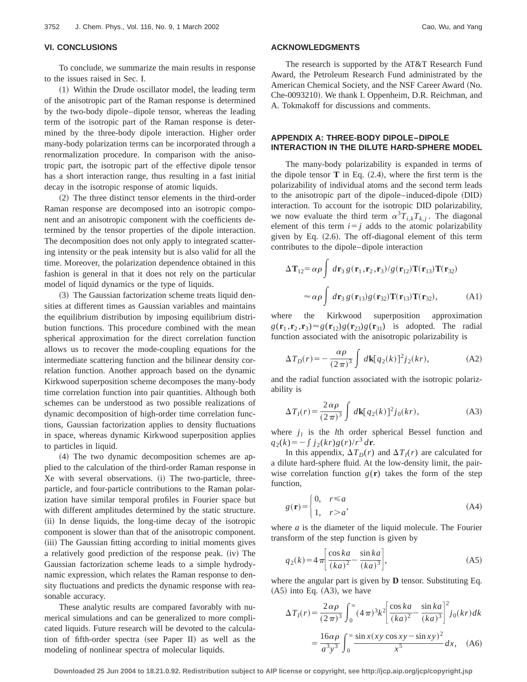To conclude, we summarize the main results in response to the issues raised in Sec. I.

(1) Within the Drude oscillator model, the leading term of the anisotropic part of the Raman response is determined by the two-body dipole–dipole tensor, whereas the leading term of the isotropic part of the Raman response is determined by the three-body dipole interaction. Higher order many-body polarization terms can be incorporated through a renormalization procedure. In comparison with the anisotropic part, the isotropic part of the effective dipole tensor has a short interaction range, thus resulting in a fast initial decay in the isotropic response of atomic liquids.

(2) The three distinct tensor elements in the third-order Raman response are decomposed into an isotropic component and an anisotropic component with the coefficients determined by the tensor properties of the dipole interaction. The decomposition does not only apply to integrated scattering intensity or the peak intensity but is also valid for all the time. Moreover, the polarization dependence obtained in this fashion is general in that it does not rely on the particular model of liquid dynamics or the type of liquids.

(3) The Gaussian factorization scheme treats liquid densities at different times as Gaussian variables and maintains the equilibrium distribution by imposing equilibrium distribution functions. This procedure combined with the mean spherical approximation for the direct correlation function allows us to recover the mode-coupling equations for the intermediate scattering function and the bilinear density correlation function. Another approach based on the dynamic Kirkwood superposition scheme decomposes the many-body time correlation function into pair quantities. Although both schemes can be understood as two possible realizations of dynamic decomposition of high-order time correlation functions, Gaussian factorization applies to density fluctuations in space, whereas dynamic Kirkwood superposition applies to particles in liquid.

~4! The two dynamic decomposition schemes are applied to the calculation of the third-order Raman response in Xe with several observations. (i) The two-particle, threeparticle, and four-particle contributions to the Raman polarization have similar temporal profiles in Fourier space but with different amplitudes determined by the static structure. (ii) In dense liquids, the long-time decay of the isotropic component is slower than that of the anisotropic component. (iii) The Gaussian fitting according to initial moments gives a relatively good prediction of the response peak.  $(iv)$  The Gaussian factorization scheme leads to a simple hydrodynamic expression, which relates the Raman response to density fluctuations and predicts the dynamic response with reasonable accuracy.

These analytic results are compared favorably with numerical simulations and can be generalized to more complicated liquids. Future research will be devoted to the calculation of fifth-order spectra (see Paper II) as well as the modeling of nonlinear spectra of molecular liquids.

# **ACKNOWLEDGMENTS**

The research is supported by the AT&T Research Fund Award, the Petroleum Research Fund administrated by the American Chemical Society, and the NSF Career Award (No. Che-0093210). We thank I. Oppenheim, D.R. Reichman, and A. Tokmakoff for discussions and comments.

# **APPENDIX A: THREE-BODY DIPOLE–DIPOLE INTERACTION IN THE DILUTE HARD-SPHERE MODEL**

The many-body polarizability is expanded in terms of the dipole tensor  $\bf{T}$  in Eq.  $(2.4)$ , where the first term is the polarizability of individual atoms and the second term leads to the anisotropic part of the dipole–induced-dipole (DID) interaction. To account for the isotropic DID polarizability, we now evaluate the third term  $\alpha^3 T_{i,k} T_{k,j}$ . The diagonal element of this term  $i=j$  adds to the atomic polarizability given by Eq.  $(2.6)$ . The off-diagonal element of this term contributes to the dipole–dipole interaction

$$
\Delta \mathbf{T}_{12} = \alpha \rho \int d\mathbf{r}_3 g(\mathbf{r}_1, \mathbf{r}_2, \mathbf{r}_3) / g(\mathbf{r}_{12}) \mathbf{T}(\mathbf{r}_{13}) \mathbf{T}(\mathbf{r}_{32})
$$

$$
\approx \alpha \rho \int d\mathbf{r}_3 g(\mathbf{r}_{13}) g(\mathbf{r}_{32}) \mathbf{T}(\mathbf{r}_{13}) \mathbf{T}(\mathbf{r}_{32}), \tag{A1}
$$

where the Kirkwood superposition approximation  $g(\mathbf{r}_1, \mathbf{r}_2, \mathbf{r}_3) \approx g(\mathbf{r}_{12})g(\mathbf{r}_{23})g(\mathbf{r}_{31})$  is adopted. The radial function associated with the anisotropic polarizability is

$$
\Delta T_D(r) = -\frac{\alpha \rho}{(2\pi)^3} \int d\mathbf{k} [q_2(k)]^2 j_2(kr), \tag{A2}
$$

and the radial function associated with the isotropic polarizability is

$$
\Delta T_I(r) = \frac{2\,\alpha\rho}{(2\,\pi)^3} \int d\mathbf{k} [q_2(k)]^2 j_0(kr), \tag{A3}
$$

where  $j_l$  is the *l*th order spherical Bessel function and  $q_2(k) = -\int j_2(kr)g(r)/r^3 dr$ .

In this appendix,  $\Delta T_D(r)$  and  $\Delta T_I(r)$  are calculated for a dilute hard-sphere fluid. At the low-density limit, the pairwise correlation function  $g(r)$  takes the form of the step function,

$$
g(\mathbf{r}) = \begin{cases} 0, & r \le a \\ 1, & r > a \end{cases}
$$
 (A4)

where *a* is the diameter of the liquid molecule. The Fourier transform of the step function is given by

$$
q_2(k) = 4\pi \left[ \frac{\cos ka}{(ka)^2} - \frac{\sin ka}{(ka)^3} \right],
$$
 (A5)

where the angular part is given by **D** tensor. Substituting Eq.  $(A5)$  into Eq.  $(A3)$ , we have

$$
\Delta T_I(r) = \frac{2\alpha\rho}{(2\pi)^3} \int_0^\infty (4\pi)^3 k^2 \left[ \frac{\cos ka}{(ka)^2} - \frac{\sin ka}{(ka)^3} \right]^2 j_0(kr) dk
$$

$$
= \frac{16\alpha\rho}{a^3 y^3} \int_0^\infty \frac{\sin x (xy \cos xy - \sin xy)^2}{x^5} dx, \quad \text{(A6)}
$$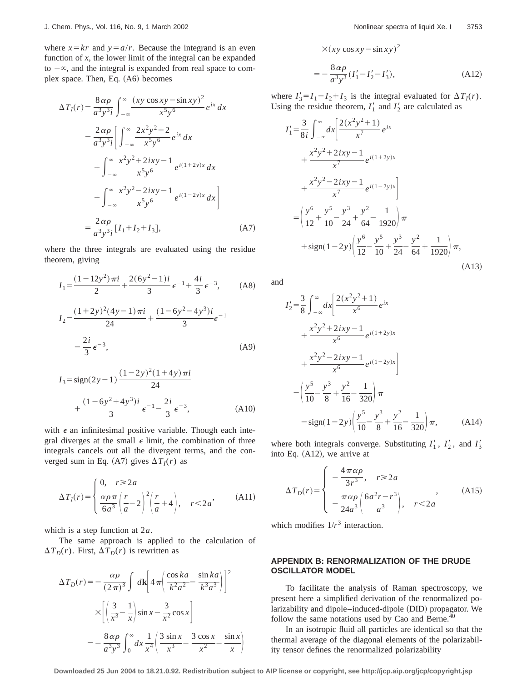where  $x = kr$  and  $y = a/r$ . Because the integrand is an even function of *x*, the lower limit of the integral can be expanded to  $-\infty$ , and the integral is expanded from real space to complex space. Then, Eq.  $(A6)$  becomes

$$
\Delta T_I(r) = \frac{8 \alpha \rho}{a^3 y^3 i} \int_{-\infty}^{\infty} \frac{(xy \cos xy - \sin xy)^2}{x^5 y^6} e^{ix} dx
$$
  
\n
$$
= \frac{2 \alpha \rho}{a^3 y^3 i} \Biggl[ \int_{-\infty}^{\infty} \frac{2x^2 y^2 + 2}{x^5 y^6} e^{ix} dx
$$
  
\n
$$
+ \int_{-\infty}^{\infty} \frac{x^2 y^2 + 2ixy - 1}{x^5 y^6} e^{i(1+2y)x} dx
$$
  
\n
$$
+ \int_{-\infty}^{\infty} \frac{x^2 y^2 - 2ixy - 1}{x^5 y^6} e^{i(1-2y)x} dx \Biggr]
$$
  
\n
$$
= \frac{2 \alpha \rho}{a^3 y^3 i} [I_1 + I_2 + I_3], \qquad (A7)
$$

where the three integrals are evaluated using the residue theorem, giving

$$
I_1 = \frac{(1 - 12y^2)\pi i}{2} + \frac{2(6y^2 - 1)i}{3} \epsilon^{-1} + \frac{4i}{3} \epsilon^{-3}, \quad (A8)
$$

$$
I_2 = \frac{(1+2y)^2(4y-1)\pi i}{24} + \frac{(1-6y^2-4y^3)i}{3}\epsilon^{-1}
$$

$$
-\frac{2i}{3}\epsilon^{-3},
$$
 (A9)

$$
I_3 = sign(2y - 1) \frac{(1 - 2y)^2 (1 + 4y)\pi i}{24}
$$
  
+ 
$$
\frac{(1 - 6y^2 + 4y^3)i}{3} \epsilon^{-1} - \frac{2i}{3} \epsilon^{-3},
$$
 (A10)

with  $\epsilon$  an infinitesimal positive variable. Though each integral diverges at the small  $\epsilon$  limit, the combination of three integrals cancels out all the divergent terms, and the converged sum in Eq. (A7) gives  $\Delta T_I(r)$  as

$$
\Delta T_I(r) = \begin{cases} 0, & r \ge 2a \\ \frac{\alpha \rho \pi}{6a^3} \left( \frac{r}{a} - 2 \right)^2 \left( \frac{r}{a} + 4 \right), & r < 2a' \end{cases}
$$
 (A11)

which is a step function at 2*a*.

The same approach is applied to the calculation of  $\Delta T_D(r)$ . First,  $\Delta T_D(r)$  is rewritten as

$$
\Delta T_D(r) = -\frac{\alpha \rho}{(2\pi)^3} \int d\mathbf{k} \left[ 4\pi \left( \frac{\cos ka}{k^2 a^2} - \frac{\sin ka}{k^3 a^3} \right) \right]^2
$$

$$
\times \left[ \left( \frac{3}{x^3} - \frac{1}{x} \right) \sin x - \frac{3}{x^2} \cos x \right]
$$

$$
= -\frac{8\alpha \rho}{a^3 y^3} \int_0^\infty dx \frac{1}{x^4} \left( \frac{3\sin x}{x^3} - \frac{3\cos x}{x^2} - \frac{\sin x}{x} \right)
$$

$$
\times (xy \cos xy - \sin xy)^2
$$
  
= 
$$
-\frac{8 \alpha \rho}{a^3 y^3} (I'_1 - I'_2 - I'_3),
$$
 (A12)

where  $I'_3 = I_1 + I_2 + I_3$  is the integral evaluated for  $\Delta T_I(r)$ . Using the residue theorem,  $I'_1$  and  $I'_2$  are calculated as

$$
I'_{1} = \frac{3}{8i} \int_{-\infty}^{\infty} dx \left[ \frac{2(x^{2}y^{2} + 1)}{x^{7}} e^{ix} + \frac{x^{2}y^{2} + 2ixy - 1}{x^{7}} e^{i(1+2y)x} + \frac{x^{2}y^{2} - 2ixy - 1}{x^{7}} e^{i(1-2y)x} \right]
$$
  

$$
= \left( \frac{y^{6}}{12} + \frac{y^{5}}{10} - \frac{y^{3}}{24} + \frac{y^{2}}{64} - \frac{1}{1920} \right) \pi + sign(1-2y) \left( \frac{y^{6}}{12} - \frac{y^{5}}{10} + \frac{y^{3}}{24} - \frac{y^{2}}{64} + \frac{1}{1920} \right) \pi,
$$
  
(A13)

and

$$
I'_{2} = \frac{3}{8} \int_{-\infty}^{\infty} dx \left[ \frac{2(x^{2}y^{2} + 1)}{x^{6}} e^{ix} + \frac{x^{2}y^{2} + 2ixy - 1}{x^{6}} e^{i(1+2y)x} + \frac{x^{2}y^{2} - 2ixy - 1}{x^{6}} e^{i(1-2y)x} \right]
$$
  
=  $\left( \frac{y^{5}}{10} - \frac{y^{3}}{8} + \frac{y^{2}}{16} - \frac{1}{320} \right) \pi$   
- sign  $(1 - 2y) \left( \frac{y^{5}}{10} - \frac{y^{3}}{8} + \frac{y^{2}}{16} - \frac{1}{320} \right) \pi$ , (A14)

where both integrals converge. Substituting  $I'_1$ ,  $I'_2$ , and  $I'_3$ into Eq.  $(A12)$ , we arrive at

$$
\Delta T_D(r) = \begin{cases}\n-\frac{4\pi\alpha\rho}{3r^3}, & r \ge 2a \\
-\frac{\pi\alpha\rho}{24a^3} \left(\frac{6a^2r - r^3}{a^3}\right), & r < 2a\n\end{cases}
$$
\n(A15)

which modifies  $1/r^3$  interaction.

# **APPENDIX B: RENORMALIZATION OF THE DRUDE OSCILLATOR MODEL**

To facilitate the analysis of Raman spectroscopy, we present here a simplified derivation of the renormalized polarizability and dipole–induced-dipole (DID) propagator. We follow the same notations used by Cao and Berne. $40$ 

In an isotropic fluid all particles are identical so that the thermal average of the diagonal elements of the polarizability tensor defines the renormalized polarizability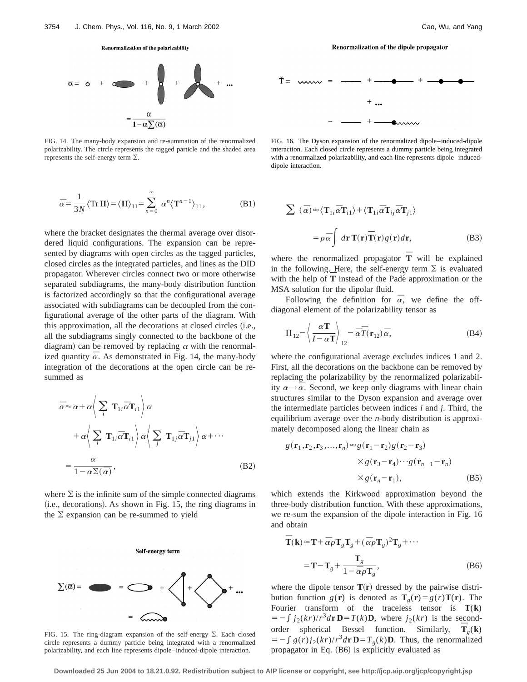#### Renormalization of the polarizability



FIG. 14. The many-body expansion and re-summation of the renormalized polarizability. The circle represents the tagged particle and the shaded area represents the self-energy term  $\Sigma$ .

$$
\overline{\alpha} = \frac{1}{3N} \langle \operatorname{Tr} \mathbf{II} \rangle = \langle \mathbf{II} \rangle_{11} = \sum_{n=0}^{\infty} \alpha^n \langle \mathbf{T}^{n-1} \rangle_{11},
$$
 (B1)

where the bracket designates the thermal average over disordered liquid configurations. The expansion can be represented by diagrams with open circles as the tagged particles, closed circles as the integrated particles, and lines as the DID propagator. Wherever circles connect two or more otherwise separated subdiagrams, the many-body distribution function is factorized accordingly so that the configurational average associated with subdiagrams can be decoupled from the configurational average of the other parts of the diagram. With this approximation, all the decorations at closed circles (i.e., all the subdiagrams singly connected to the backbone of the diagram) can be removed by replacing  $\alpha$  with the renormalized quantity  $\overline{\alpha}$ . As demonstrated in Fig. 14, the many-body integration of the decorations at the open circle can be resummed as

$$
\bar{\alpha} \approx \alpha + \alpha \left\langle \sum_{i} \mathbf{T}_{1i} \bar{\alpha} \mathbf{T}_{i1} \right\rangle \alpha
$$
  
+ 
$$
\alpha \left\langle \sum_{i} \mathbf{T}_{1i} \bar{\alpha} \mathbf{T}_{i1} \right\rangle \alpha \left\langle \sum_{j} \mathbf{T}_{1j} \bar{\alpha} \mathbf{T}_{j1} \right\rangle \alpha + \cdots
$$
  
= 
$$
\frac{\alpha}{1 - \alpha \Sigma(\bar{\alpha})},
$$
 (B2)

where  $\Sigma$  is the infinite sum of the simple connected diagrams  $(i.e.,\:,$  decorations). As shown in Fig. 15, the ring diagrams in the  $\Sigma$  expansion can be re-summed to yield



FIG. 15. The ring-diagram expansion of the self-energy  $\Sigma$ . Each closed circle represents a dummy particle being integrated with a renormalized polarizability, and each line represents dipole–induced-dipole interaction.

Renormalization of the dipole propagator



FIG. 16. The Dyson expansion of the renormalized dipole–induced-dipole interaction. Each closed circle represents a dummy particle being integrated with a renormalized polarizability, and each line represents dipole–induceddipole interaction.

$$
\sum (\bar{\alpha}) \approx \langle \mathbf{T}_{1i} \bar{\alpha} \mathbf{T}_{i1} \rangle + \langle \mathbf{T}_{1i} \bar{\alpha} \mathbf{T}_{ij} \bar{\alpha} \mathbf{T}_{j1} \rangle
$$

$$
= \rho \bar{\alpha} \int d\mathbf{r} \mathbf{T}(\mathbf{r}) \bar{\mathbf{T}}(\mathbf{r}) g(\mathbf{r}) d\mathbf{r},
$$
(B3)

where the renormalized propagator  $\overline{T}$  will be explained in the following. Here, the self-energy term  $\Sigma$  is evaluated In the following. Here, the sen-energy term  $\angle$  is evaluated<br>with the help of  $\overline{T}$  instead of the Padé approximation or the MSA solution for the dipolar fluid.

Following the definition for  $\overline{\alpha}$ , we define the offdiagonal element of the polarizability tensor as

$$
\Pi_{12} = \left\langle \frac{\alpha \mathbf{T}}{I - \alpha \mathbf{T}} \right\rangle_{12} = \overline{\alpha} \overline{T}(\mathbf{r}_{12}) \overline{\alpha},\tag{B4}
$$

where the configurational average excludes indices 1 and 2. First, all the decorations on the backbone can be removed by replacing the polarizability by the renormalized polarizability  $\alpha \rightarrow \overline{\alpha}$ . Second, we keep only diagrams with linear chain structures similar to the Dyson expansion and average over the intermediate particles between indices *i* and *j*. Third, the equilibrium average over the *n*-body distribution is approximately decomposed along the linear chain as

$$
g(\mathbf{r}_1, \mathbf{r}_2, \mathbf{r}_3, \dots, \mathbf{r}_n) \approx g(\mathbf{r}_1 - \mathbf{r}_2)g(\mathbf{r}_2 - \mathbf{r}_3)
$$
  
 
$$
\times g(\mathbf{r}_3 - \mathbf{r}_4) \cdots g(\mathbf{r}_{n-1} - \mathbf{r}_n)
$$
  
 
$$
\times g(\mathbf{r}_n - \mathbf{r}_1),
$$
 (B5)

which extends the Kirkwood approximation beyond the three-body distribution function. With these approximations, we re-sum the expansion of the dipole interaction in Fig. 16 and obtain

$$
\overline{\mathbf{T}}(\mathbf{k}) \approx \mathbf{T} + \overline{\alpha}\rho \mathbf{T}_g \mathbf{T}_g + (\overline{\alpha}\rho \mathbf{T}_g)^2 \mathbf{T}_g + \cdots
$$

$$
= \mathbf{T} - \mathbf{T}_g + \frac{\mathbf{T}_g}{1 - \overline{\alpha}\rho \mathbf{T}_g},
$$
(B6)

where the dipole tensor  $T(r)$  dressed by the pairwise distribution function *g*(**r**) is denoted as  $\mathbf{T}_g(\mathbf{r}) = g(r)\mathbf{T}(\mathbf{r})$ . The Fourier transform of the traceless tensor is **T**(**k**)  $= -\int j_2(kr)/r^3 d\mathbf{r} \mathbf{D} = T(k)\mathbf{D}$ , where  $j_2(kr)$  is the secondorder spherical Bessel function. Similarly,  $\overline{T}_g(\mathbf{k})$  $= -\int g(r)j_2(kr)/r^3d\mathbf{r} \mathbf{D} = T_g(k)\mathbf{D}$ . Thus, the renormalized propagator in Eq.  $(B6)$  is explicitly evaluated as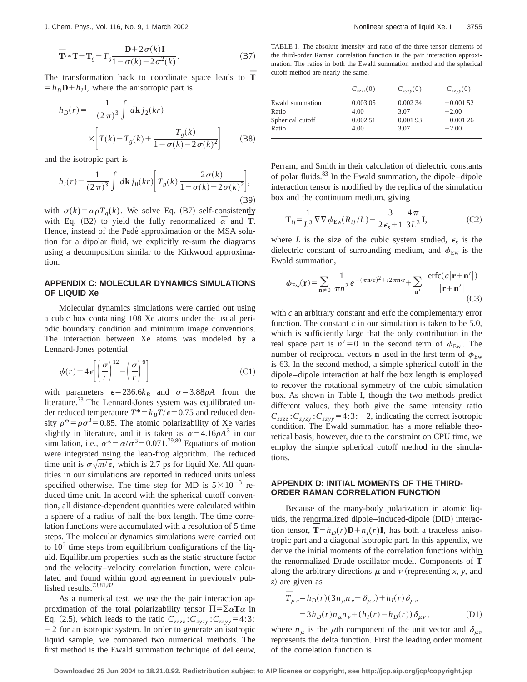$$
\overline{\mathbf{T}} \approx \mathbf{T} - \mathbf{T}_g + T_g \frac{\mathbf{D} + 2\sigma(k)\mathbf{I}}{1 - \sigma(k) - 2\sigma^2(k)}.
$$
 (B7)

The transformation back to coordinate space leads to  $\overline{T}$  $=h<sub>D</sub>$ **D**+ $h<sub>I</sub>$ **I**, where the anisotropic part is

$$
h_D(r) = -\frac{1}{(2\pi)^3} \int d\mathbf{k} j_2(kr)
$$
  
 
$$
\times \left[ T(k) - T_g(k) + \frac{T_g(k)}{1 - \sigma(k) - 2\sigma(k)^2} \right]
$$
 (B8)

and the isotropic part is

$$
h_I(r) = \frac{1}{(2\pi)^3} \int d\mathbf{k} j_0(kr) \left[ T_g(k) \frac{2\sigma(k)}{1 - \sigma(k) - 2\sigma(k)^2} \right],
$$
\n(B9)

with  $\sigma(k) = \overline{\alpha} \rho T_g(k)$ . We solve Eq. (B7) self-consistently with  $\sigma(\kappa) - \alpha p T_g(\kappa)$ , we solve Eq. (B7) sen-consistently with Eq. (B2) to yield the fully renormalized  $\bar{\alpha}$  and **T**. Hence, instead of the Padé approximation or the MSA solution for a dipolar fluid, we explicitly re-sum the diagrams using a decomposition similar to the Kirkwood approximation.

# **APPENDIX C: MOLECULAR DYNAMICS SIMULATIONS OF LIQUID Xe**

Molecular dynamics simulations were carried out using a cubic box containing 108 Xe atoms under the usual periodic boundary condition and minimum image conventions. The interaction between Xe atoms was modeled by a Lennard-Jones potential

$$
\phi(r) = 4\,\epsilon \left[ \left(\frac{\sigma}{r}\right)^{12} - \left(\frac{\sigma}{r}\right)^6 \right] \tag{C1}
$$

with parameters  $\epsilon = 236.6k_B$  and  $\sigma = 3.88 \rho A$  from the literature.<sup>73</sup> The Lennard-Jones system was equilibrated under reduced temperature  $T^* = k_B T / \epsilon = 0.75$  and reduced density  $\rho^* = \rho \sigma^3 = 0.85$ . The atomic polarizability of Xe varies slightly in literature, and it is taken as  $\alpha = 4.16 \rho A^3$  in our simulation, i.e.,  $\alpha^* = \alpha/\sigma^3 = 0.071^{79,80}$  Equations of motion were integrated using the leap-frog algorithm. The reduced time unit is  $\sigma\sqrt{m/\epsilon}$ , which is 2.7 ps for liquid Xe. All quantities in our simulations are reported in reduced units unless specified otherwise. The time step for MD is  $5 \times 10^{-3}$  reduced time unit. In accord with the spherical cutoff convention, all distance-dependent quantities were calculated within a sphere of a radius of half the box length. The time correlation functions were accumulated with a resolution of 5 time steps. The molecular dynamics simulations were carried out to  $10<sup>5</sup>$  time steps from equilibrium configurations of the liquid. Equilibrium properties, such as the static structure factor and the velocity–velocity correlation function, were calculated and found within good agreement in previously published results.73,81,82

As a numerical test, we use the the pair interaction approximation of the total polarizability tensor  $\Pi = \sum \alpha \mathbf{T} \alpha$  in Eq. (2.5), which leads to the ratio  $C_{zzzz}$ : $C_{zyzy}$ : $C_{zzyy}$ =4:3:  $-2$  for an isotropic system. In order to generate an isotropic liquid sample, we compared two numerical methods. The first method is the Ewald summation technique of deLeeuw,

TABLE I. The absolute intensity and ratio of the three tensor elements of the third-order Raman correlation function in the pair interaction approximation. The ratios in both the Ewald summation method and the spherical cutoff method are nearly the same.

| $C_{zzz}(0)$               | $C_{zyzy}(0)$              | $C_{zzvv}(0)$                                  |
|----------------------------|----------------------------|------------------------------------------------|
| 0.00305<br>4.00<br>0.00251 | 0.00234<br>3.07<br>0.00193 | $-0.00152$<br>$-2.00$<br>$-0.00126$<br>$-2.00$ |
|                            | 4.00                       | 3.07                                           |

Perram, and Smith in their calculation of dielectric constants of polar fluids.<sup>83</sup> In the Ewald summation, the dipole–dipole interaction tensor is modified by the replica of the simulation box and the continuum medium, giving

$$
\mathbf{T}_{ij} = \frac{1}{L^3} \nabla \nabla \phi_{\text{Ew}}(R_{ij}/L) - \frac{3}{2\epsilon_s + 1} \frac{4\pi}{3L^3} \mathbf{I},\tag{C2}
$$

where *L* is the size of the cubic system studied,  $\epsilon_s$  is the dielectric constant of surrounding medium, and  $\phi_{Ew}$  is the Ewald summation,

$$
\phi_{\text{Ew}}(\mathbf{r}) = \sum_{\mathbf{n} \neq 0} \frac{1}{\pi n^2} e^{-(\pi \mathbf{n}/c)^2 + i2\pi \mathbf{n} \cdot \mathbf{r}} + \sum_{\mathbf{n}'} \frac{\text{erfc}(c|\mathbf{r} + \mathbf{n}'|)}{|\mathbf{r} + \mathbf{n}'|} \tag{C3}
$$

with *c* an arbitrary constant and erfc the complementary error function. The constant  $c$  in our simulation is taken to be 5.0, which is sufficiently large that the only contribution in the real space part is  $n' = 0$  in the second term of  $\phi_{Ew}$ . The number of reciprocal vectors **n** used in the first term of  $\phi_{\text{Ew}}$ is 63. In the second method, a simple spherical cutoff in the dipole–dipole interaction at half the box length is employed to recover the rotational symmetry of the cubic simulation box. As shown in Table I, though the two methods predict different values, they both give the same intensity ratio  $C_{zzzz}$ : $C_{zyzy}$ : $C_{zzyy}$ =4:3:-2, indicating the correct isotropic condition. The Ewald summation has a more reliable theoretical basis; however, due to the constraint on CPU time, we employ the simple spherical cutoff method in the simulations.

## **APPENDIX D: INITIAL MOMENTS OF THE THIRD-ORDER RAMAN CORRELATION FUNCTION**

Because of the many-body polarization in atomic liquids, the renormalized dipole–induced-dipole (DID) interaction tensor,  $\overline{T} = h_D(r)\mathbf{D} + h_I(r)\mathbf{I}$ , has both a traceless anisotropic part and a diagonal isotropic part. In this appendix, we derive the initial moments of the correlation functions within the renormalized Drude oscillator model. Components of **T¯** along the arbitrary directions  $\mu$  and  $\nu$  (representing *x*, *y*, and *z*! are given as

$$
\begin{aligned} \bar{T}_{\mu\nu} &= h_D(r)(3n_{\mu}n_{\nu} - \delta_{\mu\nu}) + h_I(r)\,\delta_{\mu\nu} \\ &= 3h_D(r)n_{\mu}n_{\nu} + (h_I(r) - h_D(r))\,\delta_{\mu\nu} \,, \end{aligned} \tag{D1}
$$

where  $n_{\mu}$  is the  $\mu$ th component of the unit vector and  $\delta_{\mu\nu}$ represents the delta function. First the leading order moment of the correlation function is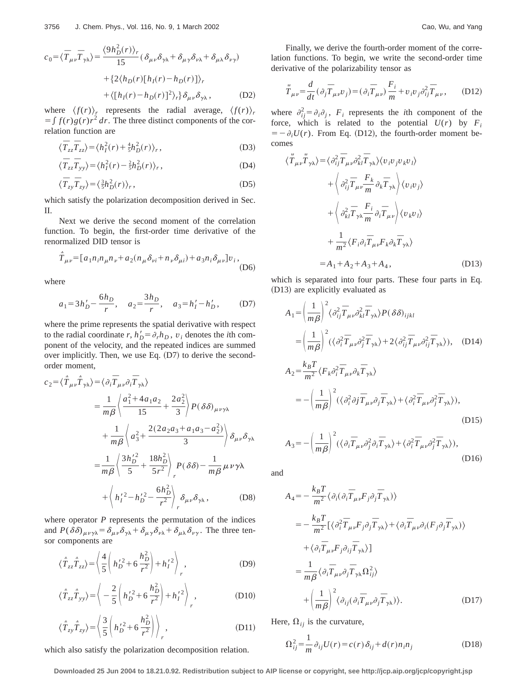$$
c_0 = \langle \overline{T}_{\mu\nu} \overline{T}_{\gamma\lambda} \rangle = \frac{\langle 9h_D^2(r) \rangle_r}{15} (\delta_{\mu\nu}\delta_{\gamma\lambda} + \delta_{\mu\gamma}\delta_{\nu\lambda} + \delta_{\mu\lambda}\delta_{\nu\gamma}) + \{2\langle h_D(r)[h_I(r) - h_D(r)] \rangle_r + \langle [h_I(r) - h_D(r)]^2 \rangle_r\} \delta_{\mu\nu}\delta_{\gamma\lambda}, \tag{D2}
$$

where  $\langle f(r) \rangle$ <sup>*r*</sup> represents the radial average,  $\langle f(r) \rangle$ <sup>*r*</sup>  $f(f(r))g(r)r^2 dr$ . The three distinct components of the correlation function are

$$
\langle \overline{T}_{zz}\overline{T}_{zz}\rangle = \langle h_I^2(r) + \frac{4}{5}h_D^2(r)\rangle_r, \tag{D3}
$$

$$
\langle \overline{T}_{zz}\overline{T}_{yy}\rangle = \langle h_I^2(r) - \frac{2}{5}h_D^2(r)\rangle_r, \tag{D4}
$$

$$
\langle \overline{T}_{zy}\overline{T}_{zy}\rangle = \langle \frac{3}{5}h_D^2(r)\rangle_r, \tag{D5}
$$

which satisfy the polarization decomposition derived in Sec. II.

Next we derive the second moment of the correlation function. To begin, the first-order time derivative of the renormalized DID tensor is

$$
\dot{\overline{T}}_{\mu\nu} = [a_1 n_i n_{\mu} n_{\nu} + a_2 (n_{\mu} \delta_{\nu i} + n_{\nu} \delta_{\mu i}) + a_3 n_i \delta_{\mu\nu}] v_i,
$$
\n(D6)

where

$$
a_1 = 3h'_D - \frac{6h_D}{r}
$$
,  $a_2 = \frac{3h_D}{r}$ ,  $a_3 = h'_I - h'_D$ , (D7)

where the prime represents the spatial derivative with respect to the radial coordinate  $r$ ,  $h'_D = \partial_r h_D$ ,  $v_i$  denotes the *i*th component of the velocity, and the repeated indices are summed over implicitly. Then, we use Eq.  $(D7)$  to derive the secondorder moment,

$$
c_2 = \langle \hat{T}_{\mu\nu} \hat{T}_{\gamma\lambda} \rangle = \langle \partial_i \hat{T}_{\mu\nu} \partial_i \hat{T}_{\gamma\lambda} \rangle
$$
  
\n
$$
= \frac{1}{m\beta} \langle \frac{a_1^2 + 4a_1a_2}{15} + \frac{2a_2^2}{3} \rangle P(\delta \delta)_{\mu\nu\gamma\lambda}
$$
  
\n
$$
+ \frac{1}{m\beta} \langle a_3^2 + \frac{2(2a_2a_3 + a_1a_3 - a_2^2)}{3} \rangle \delta_{\mu\nu} \delta_{\gamma\lambda}
$$
  
\n
$$
= \frac{1}{m\beta} \langle \frac{3h_D'^2}{5} + \frac{18h_D^2}{5r^2} \rangle_P P(\delta \delta) - \frac{1}{m\beta} \mu \nu \gamma \lambda
$$
  
\n
$$
+ \langle h_I'^2 - h_D'^2 - \frac{6h_D^2}{r^2} \rangle_P \delta_{\mu\nu} \delta_{\gamma\lambda},
$$
 (D8)

where operator *P* represents the permutation of the indices and  $P(\delta\delta)_{\mu\nu\gamma\lambda} = \delta_{\mu\nu}\delta_{\gamma\lambda} + \delta_{\mu\gamma}\delta_{\nu\lambda} + \delta_{\mu\lambda}\delta_{\nu\gamma}$ . The three tensor components are

$$
\langle \dot{\overline{T}}_{zz} \dot{\overline{T}}_{zz} \rangle = \left\langle \frac{4}{5} \left( h_D^{\prime 2} + 6 \frac{h_D^2}{r^2} \right) + h_I^{\prime 2} \right\rangle_r, \tag{D9}
$$

$$
\langle \dot{T}_{zz}\dot{T}_{yy}\rangle = \left\langle -\frac{2}{5} \left( h_D'^2 + 6\frac{h_D^2}{r^2} \right) + h_I'^2 \right\rangle_r, \tag{D10}
$$

$$
\langle \hat{T}_{zy}\hat{T}_{zy}\rangle = \left\langle \frac{3}{5} \left( h_D^{\prime 2} + 6 \frac{h_D^2}{r^2} \right) \right\rangle_r, \tag{D11}
$$

which also satisfy the polarization decomposition relation.

Finally, we derive the fourth-order moment of the correlation functions. To begin, we write the second-order time derivative of the polarizability tensor as

$$
\ddot{\overline{T}}_{\mu\nu} = \frac{d}{dt} (\partial_j \overline{T}_{\mu\nu} v_j) = (\partial_i \overline{T}_{\mu\nu}) \frac{F_i}{m} + v_i v_j \partial_{ij}^2 \overline{T}_{\mu\nu}, \qquad (D12)
$$

where  $\partial_{ij}^2 = \partial_i \partial_j$ ,  $F_i$  represents the *i*th component of the force, which is related to the potential  $U(r)$  by  $F_i$  $= -\partial_i U(r)$ . From Eq. (D12), the fourth-order moment becomes

$$
\langle \ddot{\overline{T}}_{\mu\nu} \ddot{\overline{T}}_{\gamma\lambda} \rangle = \langle \partial_{ij}^2 \overline{T}_{\mu\nu} \partial_{kl}^2 \overline{T}_{\gamma\lambda} \rangle \langle v_i v_j v_k v_l \rangle \n+ \langle \partial_{ij}^2 \overline{T}_{\mu\nu} \frac{F_k}{m} \partial_k \overline{T}_{\gamma\lambda} \rangle \langle v_i v_j \rangle \n+ \langle \partial_{kl}^2 \overline{T}_{\gamma\lambda} \frac{F_i}{m} \partial_i \overline{T}_{\mu\nu} \rangle \langle v_k v_l \rangle \n+ \frac{1}{m^2} \langle F_i \partial_i \overline{T}_{\mu\nu} F_k \partial_k \overline{T}_{\gamma\lambda} \rangle \n= A_1 + A_2 + A_3 + A_4,
$$
\n(D13)

which is separated into four parts. These four parts in Eq. (D13) are explicitly evaluated as

$$
A_{1} = \left(\frac{1}{m\beta}\right)^{2} \langle \partial_{ij}^{2} \overline{T}_{\mu\nu} \partial_{kl}^{2} \overline{T}_{\gamma\lambda} \rangle P(\delta\delta)_{ijkl}
$$
  
\n
$$
= \left(\frac{1}{m\beta}\right)^{2} (\langle \partial_{i}^{2} \overline{T}_{\mu\nu} \partial_{j}^{2} \overline{T}_{\gamma\lambda} \rangle + 2 \langle \partial_{ij}^{2} \overline{T}_{\mu\nu} \partial_{ij}^{2} \overline{T}_{\gamma\lambda} \rangle), \quad (D14)
$$
  
\n
$$
A_{2} = \frac{k_{B}T}{m^{2}} \langle F_{k} \partial_{i}^{2} \overline{T}_{\mu\nu} \partial_{k} \overline{T}_{\gamma\lambda} \rangle
$$
  
\n
$$
= -\left(\frac{1}{m\beta}\right)^{2} (\langle \partial_{i}^{2} \partial j \overline{T}_{\mu\nu} \partial_{j} \overline{T}_{\gamma\lambda} \rangle + \langle \partial_{i}^{2} \overline{T}_{\mu\nu} \partial_{j}^{2} \overline{T}_{\gamma\lambda} \rangle), \quad (D15)
$$

$$
A_3 = -\left(\frac{1}{m\beta}\right)^2 (\langle \partial_i \overline{T}_{\mu\nu} \partial_j^2 \partial_i \overline{T}_{\gamma\lambda} \rangle + \langle \partial_i^2 \overline{T}_{\mu\nu} \partial_j^2 \overline{T}_{\gamma\lambda} \rangle),
$$
(D16)

and

$$
A_{4} = -\frac{k_{B}T}{m^{2}} \langle \partial_{i}(\partial_{i}\overline{T}_{\mu\nu}F_{j}\partial_{j}\overline{T}_{\gamma\lambda}) \rangle
$$
  
\n
$$
= -\frac{k_{B}T}{m^{2}} [\langle \partial_{i}^{2}\overline{T}_{\mu\nu}F_{j}\partial_{j}\overline{T}_{\gamma\lambda} \rangle + \langle \partial_{i}\overline{T}_{\mu\nu}\partial_{i}(F_{j}\partial_{j}\overline{T}_{\gamma\lambda}) \rangle
$$
  
\n
$$
+ \langle \partial_{i}\overline{T}_{\mu\nu}F_{j}\partial_{ij}\overline{T}_{\gamma\lambda} \rangle ]
$$
  
\n
$$
= \frac{1}{m\beta} \langle \partial_{i}\overline{T}_{\mu\nu}\partial_{j}\overline{T}_{\gamma\lambda} \Omega_{ij}^{2} \rangle
$$
  
\n
$$
+ \left(\frac{1}{m\beta}\right)^{2} \langle \partial_{ij}(\partial_{i}\overline{T}_{\mu\nu}\partial_{j}\overline{T}_{\gamma\lambda}) \rangle.
$$
 (D17)

Here,  $\Omega_{ij}$  is the curvature,

$$
\Omega_{ij}^2 = \frac{1}{m} \partial_{ij} U(r) = c(r) \delta_{ij} + d(r) n_i n_j \tag{D18}
$$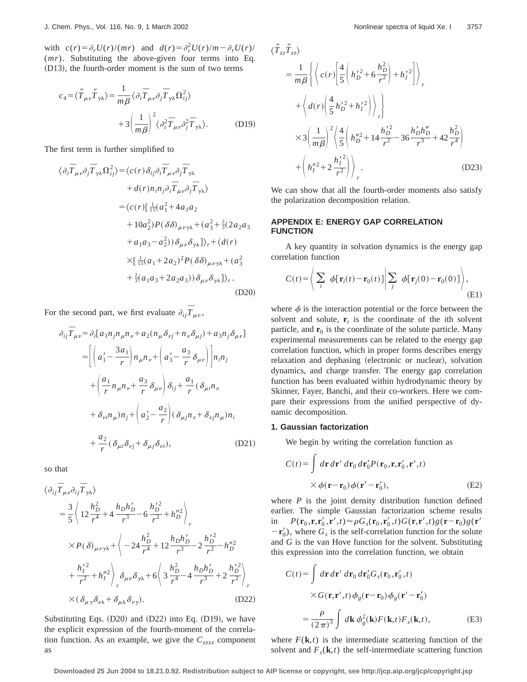with  $c(r) = \partial_r U(r)/(mr)$  and  $d(r) = \partial_r^2 U(r)/m - \partial_r U(r)/m$ (*mr*). Substituting the above-given four terms into Eq.  $(D13)$ , the fourth-order moment is the sum of two terms

$$
c_4 = \langle \ddot{\tilde{T}}_{\mu\nu} \ddot{\tilde{T}}_{\gamma\lambda} \rangle = \frac{1}{m\beta} \langle \partial_i \overline{T}_{\mu\nu} \partial_j \overline{T}_{\gamma\lambda} \Omega_{ij}^2 \rangle
$$

$$
+ 3 \left( \frac{1}{m\beta} \right)^2 \langle \partial_i^2 \overline{T}_{\mu\nu} \partial_j^2 \overline{T}_{\gamma\lambda} \rangle. \tag{D19}
$$

The first term is further simplified to

$$
\langle \partial_i \overline{T}_{\mu\nu} \partial_j \overline{T}_{\gamma\lambda} \Omega_{ij}^2 \rangle = \langle c(r) \delta_{ij} \partial_i \overline{T}_{\mu\nu} \partial_j \overline{T}_{\gamma\lambda} + d(r) n_i n_j \partial_i \overline{T}_{\mu\nu} \partial_j \overline{T}_{\gamma\lambda} \rangle = \langle c(r) [\frac{1}{15} (a_1^2 + 4a_1 a_2 + 10a_2^2) P(\delta \delta)_{\mu\nu\gamma\lambda} + (a_3^2 + \frac{2}{3} (2a_2 a_3 + a_1 a_3 - a_2^2)) \delta_{\mu\nu} \delta_{\gamma\lambda}] \rangle_r + \langle d(r) \times [\frac{1}{15} (a_1 + 2a_2)^2 P(\delta \delta)_{\mu\nu\gamma\lambda} + (a_3^2 + \frac{2}{3} (a_1 a_3 + 2a_2 a_3)) \delta_{\mu\nu} \delta_{\gamma\lambda}] \rangle_r.
$$
\n(D20)

For the second part, we first evaluate  $\partial_{ij} \overline{T}_{\mu\nu}$ ,

$$
\partial_{ij}\overline{T}_{\mu\nu} = \partial_i[a_1n_jn_{\mu}n_{\nu} + a_2(n_{\mu}\delta_{\nu j} + n_{\nu}\delta_{\mu j}) + a_3n_j\delta_{\mu\nu}]
$$
  
\n
$$
= \left[ \left( a'_1 - \frac{3a_1}{r} \right) n_{\mu}n_{\nu} + \left( a'_3 - \frac{a_3}{r} \delta_{\mu\nu} \right) \right] n_i n_j
$$
  
\n
$$
+ \left( \frac{a_1}{r} n_{\mu}n_{\nu} + \frac{a_3}{r} \delta_{\mu\nu} \right) \delta_{ij} + \frac{a_1}{r} (\delta_{\mu i}n_{\nu})
$$
  
\n
$$
+ \delta_{\nu i}n_{\mu})n_j + \left( a'_2 - \frac{a_2}{r} \right) (\delta_{\mu j}n_{\nu} + \delta_{\nu j}n_{\mu})n_i
$$
  
\n
$$
+ \frac{a_2}{r} (\delta_{\mu i} \delta_{\nu j} + \delta_{\mu j} \delta_{\nu i}), \qquad (D21)
$$

so that

$$
\langle \partial_{ij} \overline{T}_{\mu\nu} \partial_{ij} \overline{T}_{\gamma\lambda} \rangle
$$
  
\n
$$
= \frac{3}{5} \langle 12 \frac{h_D^2}{r^4} + 4 \frac{h_D h_D'}{r^3} - 6 \frac{h_D'^2}{r^2} + h_D''^2 \rangle_r
$$
  
\n
$$
\times P(\delta)_{\mu\nu\gamma\lambda} + \langle -24 \frac{h_D^2}{r^4} + 12 \frac{h_D h_D'}{r^3} - 2 \frac{h_D'^2}{r^2} - h_D''^2
$$
  
\n
$$
+ \frac{h_I'^2}{r^2} + h_I''^2 \rangle_p \delta_{\mu\nu} \delta_{\gamma\lambda} + 6 \langle 3 \frac{h_D^2}{r^4} - 4 \frac{h_D h_D'}{r^3} + 2 \frac{h_D'^2}{r^2} \rangle_r
$$
  
\n
$$
\times (\delta_{\mu\gamma} \delta_{\nu\lambda} + \delta_{\mu\lambda} \delta_{\nu\gamma}).
$$
 (D22)

Substituting Eqs.  $(D20)$  and  $(D22)$  into Eq.  $(D19)$ , we have the explicit expression of the fourth-moment of the correlation function. As an example, we give the  $C_{zzzz}$  component as

$$
\langle \vec{T}_{zz} \vec{T}_{zz} \rangle
$$
\n
$$
= \frac{1}{m\beta} \left\{ \left\langle c(r) \left[ \frac{4}{5} \left( h_D'^2 + 6 \frac{h_D^2}{r^2} \right) + h_I'^2 \right] \right\rangle_r + \left\langle d(r) \left( \frac{4}{5} h_D'^2 + h_I'^2 \right) \right\rangle_r \right\}
$$
\n
$$
\times 3 \left( \frac{1}{m\beta} \right)^2 \left\langle \frac{4}{5} \left( h_D''^2 + 14 \frac{h_D'^2}{r^2} - 36 \frac{h_D'h_D''}{r^3} + 42 \frac{h_D^2}{r^4} \right) + \left( h_I''^2 + 2 \frac{h_I'^2}{r^2} \right) \right\rangle_r
$$
\n(D23)

We can show that all the fourth-order moments also satisfy the polarization decomposition relation.

# **APPENDIX E: ENERGY GAP CORRELATION FUNCTION**

A key quantity in solvation dynamics is the energy gap correlation function

$$
C(t) = \left\langle \sum_{i} \phi[\mathbf{r}_i(t) - \mathbf{r}_0(t)] \middle| \sum_{j} \phi[\mathbf{r}_j(0) - \mathbf{r}_0(0)] \right\rangle, \tag{E1}
$$

where  $\phi$  is the interaction potential or the force between the solvent and solute,  $\mathbf{r}_i$  is the coordinate of the *i*th solvent particle, and  $\mathbf{r}_0$  is the coordinate of the solute particle. Many experimental measurements can be related to the energy gap correlation function, which in proper forms describes energy relaxation and dephasing (electronic or nuclear), solvation dynamics, and charge transfer. The energy gap correlation function has been evaluated within hydrodynamic theory by Skinner, Fayer, Banchi, and their co-workers. Here we compare their expressions from the unified perspective of dynamic decomposition.

### **1. Gaussian factorization**

We begin by writing the correlation function as

$$
C(t) = \int d\mathbf{r} d\mathbf{r}' d\mathbf{r}_0 d\mathbf{r}'_0 P(\mathbf{r}_0, \mathbf{r}, \mathbf{r}'_0, \mathbf{r}', t)
$$
  
 
$$
\times \phi(\mathbf{r} - \mathbf{r}_0) \phi(\mathbf{r}' - \mathbf{r}'_0),
$$
 (E2)

where  $P$  is the joint density distribution function defined earlier. The simple Gaussian factorization scheme results in  $P(\mathbf{r}_0, \mathbf{r}, \mathbf{r}_0', \mathbf{r}', t) \approx \rho G_s(\mathbf{r}_0, \mathbf{r}_0', t) G(\mathbf{r}, \mathbf{r}', t) g(\mathbf{r} - \mathbf{r}_0) g(\mathbf{r}')$  $-\mathbf{r}'_0$ ), where  $G_s$  is the self-correlation function for the solute and *G* is the van Hove function for the solvent. Substituting this expression into the correlation function, we obtain

$$
C(t) = \int d\mathbf{r} d\mathbf{r}' d\mathbf{r}_0 d\mathbf{r}'_0 G_s(\mathbf{r}_0, \mathbf{r}'_0, t)
$$

$$
\times G(\mathbf{r}, \mathbf{r}', t) \phi_g(\mathbf{r} - \mathbf{r}_0) \phi_g(\mathbf{r}' - \mathbf{r}'_0)
$$

$$
= \frac{\rho}{(2\pi)^3} \int d\mathbf{k} \phi_g^2(\mathbf{k}) F(\mathbf{k}, t) F_s(\mathbf{k}, t), \tag{E3}
$$

where  $F(\mathbf{k},t)$  is the intermediate scattering function of the solvent and  $F_s(\mathbf{k},t)$  the self-intermediate scattering function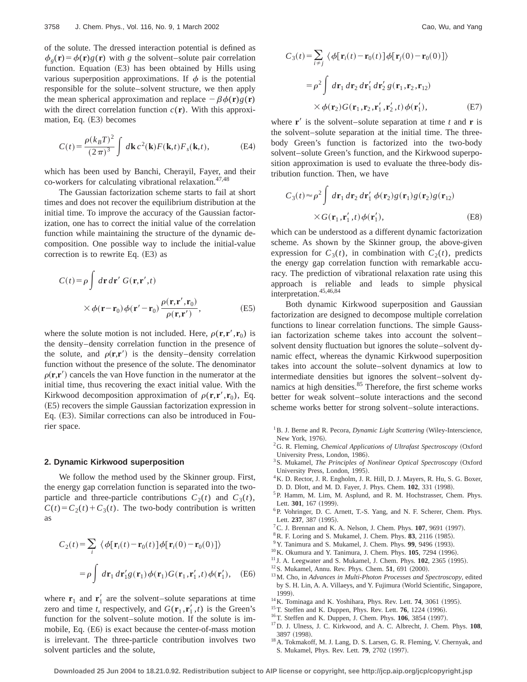of the solute. The dressed interaction potential is defined as  $\phi_g(\mathbf{r}) = \phi(\mathbf{r})g(\mathbf{r})$  with *g* the solvent–solute pair correlation function. Equation  $(E3)$  has been obtained by Hills using various superposition approximations. If  $\phi$  is the potential responsible for the solute–solvent structure, we then apply the mean spherical approximation and replace  $-\beta \phi(\mathbf{r})g(\mathbf{r})$ with the direct correlation function  $c(\mathbf{r})$ . With this approximation, Eq.  $(E3)$  becomes

$$
C(t) = \frac{\rho(k_B T)^2}{(2\pi)^3} \int d\mathbf{k} c^2(\mathbf{k}) F(\mathbf{k}, t) F_s(\mathbf{k}, t),
$$
 (E4)

which has been used by Banchi, Cherayil, Fayer, and their co-workers for calculating vibrational relaxation. $47,48$ 

The Gaussian factorization scheme starts to fail at short times and does not recover the equilibrium distribution at the initial time. To improve the accuracy of the Gaussian factorization, one has to correct the initial value of the correlation function while maintaining the structure of the dynamic decomposition. One possible way to include the initial-value correction is to rewrite Eq.  $(E3)$  as

$$
C(t) = \rho \int d\mathbf{r} d\mathbf{r}' G(\mathbf{r}, \mathbf{r}', t)
$$

$$
\times \phi(\mathbf{r} - \mathbf{r}_0) \phi(\mathbf{r}' - \mathbf{r}_0) \frac{\rho(\mathbf{r}, \mathbf{r}', \mathbf{r}_0)}{\rho(\mathbf{r}, \mathbf{r}')} ,
$$
(E5)

where the solute motion is not included. Here,  $\rho(\mathbf{r}, \mathbf{r}', \mathbf{r}_0)$  is the density–density correlation function in the presence of the solute, and  $\rho(\mathbf{r}, \mathbf{r}')$  is the density–density correlation function without the presence of the solute. The denominator  $\rho(\mathbf{r}, \mathbf{r}')$  cancels the van Hove function in the numerator at the initial time, thus recovering the exact initial value. With the Kirkwood decomposition approximation of  $\rho(\mathbf{r}, \mathbf{r}', \mathbf{r}_0)$ , Eq.  $(E5)$  recovers the simple Gaussian factorization expression in Eq. (E3). Similar corrections can also be introduced in Fourier space.

### **2. Dynamic Kirkwood superposition**

We follow the method used by the Skinner group. First, the energy gap correlation function is separated into the twoparticle and three-particle contributions  $C_2(t)$  and  $C_3(t)$ ,  $C(t) = C_2(t) + C_3(t)$ . The two-body contribution is written as

$$
C_2(t) = \sum_{i} \langle \phi[\mathbf{r}_i(t) - \mathbf{r}_0(t)]\phi[\mathbf{r}_i(0) - \mathbf{r}_0(0)] \rangle
$$

$$
= \rho \int d\mathbf{r}_1 d\mathbf{r}'_1 g(\mathbf{r}_1) \phi(\mathbf{r}_1) G(\mathbf{r}_1, \mathbf{r}'_1, t) \phi(\mathbf{r}'_1), \quad (E6)
$$

where  $\mathbf{r}_1$  and  $\mathbf{r}_1'$  are the solvent–solute separations at time zero and time *t*, respectively, and  $G(\mathbf{r}_1, \mathbf{r}_1', t)$  is the Green's function for the solvent–solute motion. If the solute is immobile, Eq. (E6) is exact because the center-of-mass motion is irrelevant. The three-particle contribution involves two solvent particles and the solute,

$$
C_3(t) = \sum_{i \neq j} \langle \phi[\mathbf{r}_i(t) - \mathbf{r}_0(t)] \phi[\mathbf{r}_j(0) - \mathbf{r}_0(0)] \rangle
$$
  

$$
= \rho^2 \int d\mathbf{r}_1 d\mathbf{r}_2 d\mathbf{r}'_1 d\mathbf{r}'_2 g(\mathbf{r}_1, \mathbf{r}_2, \mathbf{r}_{12})
$$
  

$$
\times \phi(\mathbf{r}_2) G(\mathbf{r}_1, \mathbf{r}_2, \mathbf{r}'_1, \mathbf{r}'_2, t) \phi(\mathbf{r}'_1),
$$
 (E7)

where  $\mathbf{r}'$  is the solvent–solute separation at time *t* and **r** is the solvent–solute separation at the initial time. The threebody Green's function is factorized into the two-body solvent–solute Green's function, and the Kirkwood superposition approximation is used to evaluate the three-body distribution function. Then, we have

$$
C_3(t) \approx \rho^2 \int d\mathbf{r}_1 d\mathbf{r}_2 d\mathbf{r}'_1 \phi(\mathbf{r}_2) g(\mathbf{r}_1) g(\mathbf{r}_2) g(\mathbf{r}_{12})
$$
  
× $G(\mathbf{r}_1, \mathbf{r}'_1, t) \phi(\mathbf{r}'_1)$ , (E8)

which can be understood as a different dynamic factorization scheme. As shown by the Skinner group, the above-given expression for  $C_3(t)$ , in combination with  $C_2(t)$ , predicts the energy gap correlation function with remarkable accuracy. The prediction of vibrational relaxation rate using this approach is reliable and leads to simple physical interpretation.45,46,84

Both dynamic Kirkwood superposition and Gaussian factorization are designed to decompose multiple correlation functions to linear correlation functions. The simple Gaussian factorization scheme takes into account the solvent– solvent density fluctuation but ignores the solute–solvent dynamic effect, whereas the dynamic Kirkwood superposition takes into account the solute–solvent dynamics at low to intermediate densities but ignores the solvent–solvent dynamics at high densities.<sup>85</sup> Therefore, the first scheme works better for weak solvent–solute interactions and the second scheme works better for strong solvent–solute interactions.

- <sup>1</sup>B. J. Berne and R. Pecora, *Dynamic Light Scattering* (Wiley-Interscience, New York, 1976).
- <sup>2</sup>G. R. Fleming, *Chemical Applications of Ultrafast Spectroscopy* (Oxford University Press, London, 1986).
- <sup>3</sup> S. Mukamel, *The Principles of Nonlinear Optical Spectroscopy* (Oxford University Press, London, 1995).
- <sup>4</sup>K. D. Rector, J. R. Engholm, J. R. Hill, D. J. Mayers, R. Hu, S. G. Boxer, D. D. Dlott, and M. D. Fayer, J. Phys. Chem. **102**, 331 (1998).
- <sup>5</sup>P. Hamm, M. Lim, M. Asplund, and R. M. Hochstrasser, Chem. Phys.
- Lett. 301, 167 (1999). <sup>6</sup>P. Vohringer, D. C. Arnett, T.-S. Yang, and N. F. Scherer, Chem. Phys. Lett. 237, 387 (1995).
- ${}^{7}$ C. J. Brennan and K. A. Nelson, J. Chem. Phys. **107**, 9691 (1997).
- <sup>8</sup> R. F. Loring and S. Mukamel, J. Chem. Phys. **83**, 2116 (1985).
- <sup>9</sup> Y. Tanimura and S. Mukamel, J. Chem. Phys. **99**, 9496 (1993).
- <sup>10</sup>K. Okumura and Y. Tanimura, J. Chem. Phys. **105**, 7294 (1996).
- $11$  J. A. Leegwater and S. Mukamel, J. Chem. Phys.  $102$ ,  $2365$  (1995).
- $12$  S. Mukamel, Annu. Rev. Phys. Chem. **51**, 691  $(2000)$ .
- <sup>13</sup>M. Cho, in *Advances in Multi-Photon Processes and Spectroscopy*, edited by S. H. Lin, A. A. Villaeys, and Y. Fujimura (World Scientific, Singapore, 1999!.
- $14$ K. Tominaga and K. Yoshihara, Phys. Rev. Lett. **74**, 3061 (1995).
- <sup>15</sup>T. Steffen and K. Duppen, Phys. Rev. Lett. **76**, 1224 (1996).
- <sup>16</sup>T. Steffen and K. Duppen, J. Chem. Phys. **106**, 3854 (1997).
- <sup>17</sup>D. J. Ulness, J. C. Kirkwood, and A. C. Albrecht, J. Chem. Phys. **108**, 3897 (1998).
- <sup>18</sup>A. Tokmakoff, M. J. Lang, D. S. Larsen, G. R. Fleming, V. Chernyak, and S. Mukamel, Phys. Rev. Lett. **79**, 2702 (1997).